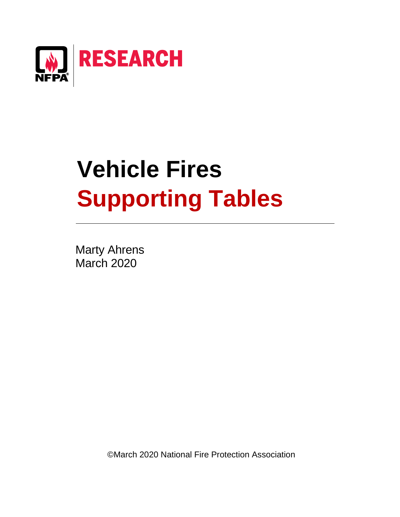

# **Vehicle Fires Supporting Tables**

Marty Ahrens March 2020

©March 2020 National Fire Protection Association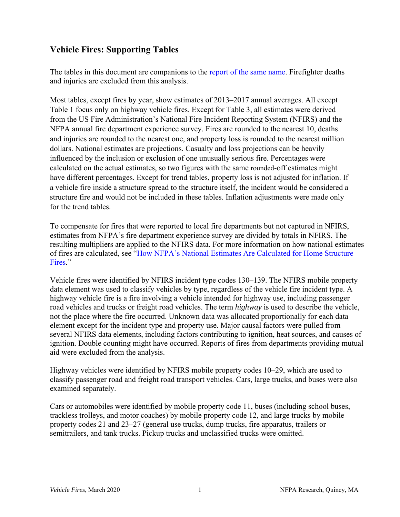The tables in this document are companions to the [report of the same name.](https://www.nfpa.org/vehiclefires) Firefighter deaths and injuries are excluded from this analysis.

Most tables, except fires by year, show estimates of 2013–2017 annual averages. All except Table 1 focus only on highway vehicle fires. Except for Table 3, all estimates were derived from the US Fire Administration's National Fire Incident Reporting System (NFIRS) and the NFPA annual fire department experience survey. Fires are rounded to the nearest 10, deaths and injuries are rounded to the nearest one, and property loss is rounded to the nearest million dollars. National estimates are projections. Casualty and loss projections can be heavily influenced by the inclusion or exclusion of one unusually serious fire. Percentages were calculated on the actual estimates, so two figures with the same rounded-off estimates might have different percentages. Except for trend tables, property loss is not adjusted for inflation. If a vehicle fire inside a structure spread to the structure itself, the incident would be considered a structure fire and would not be included in these tables. Inflation adjustments were made only for the trend tables.

To compensate for fires that were reported to local fire departments but not captured in NFIRS, estimates from NFPA's fire department experience survey are divided by totals in NFIRS. The resulting multipliers are applied to the NFIRS data. For more information on how national estimates of fires are calculated, see ["How NFPA's National Estimates Are Calculated for Home Structure](https://www.nfpa.org/-/media/Files/News-and-Research/Fire-statistics-and-reports/NFPA-estimates-and-methodology/HowNationalEstimatesAreCalculatedForHomeStructureFires.pdf) [Fires."](https://www.nfpa.org/-/media/Files/News-and-Research/Fire-statistics-and-reports/NFPA-estimates-and-methodology/HowNationalEstimatesAreCalculatedForHomeStructureFires.pdf)

Vehicle fires were identified by NFIRS incident type codes 130–139. The NFIRS mobile property data element was used to classify vehicles by type, regardless of the vehicle fire incident type. A highway vehicle fire is a fire involving a vehicle intended for highway use, including passenger road vehicles and trucks or freight road vehicles. The term *highway* is used to describe the vehicle, not the place where the fire occurred. Unknown data was allocated proportionally for each data element except for the incident type and property use. Major causal factors were pulled from several NFIRS data elements, including factors contributing to ignition, heat sources, and causes of ignition. Double counting might have occurred. Reports of fires from departments providing mutual aid were excluded from the analysis.

Highway vehicles were identified by NFIRS mobile property codes 10–29, which are used to classify passenger road and freight road transport vehicles. Cars, large trucks, and buses were also examined separately.

Cars or automobiles were identified by mobile property code 11, buses (including school buses, trackless trolleys, and motor coaches) by mobile property code 12, and large trucks by mobile property codes 21 and 23–27 (general use trucks, dump trucks, fire apparatus, trailers or semitrailers, and tank trucks. Pickup trucks and unclassified trucks were omitted.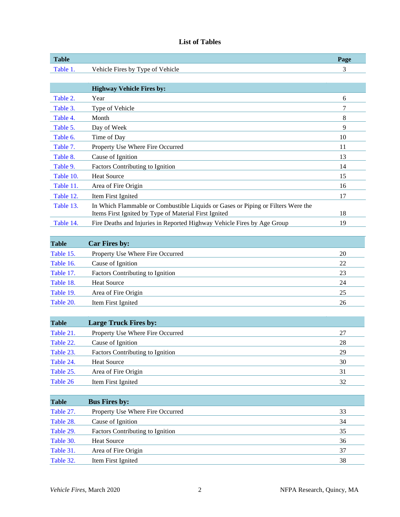# **List of Tables**

| <b>Table</b> |                                                                                                                                           | Page |
|--------------|-------------------------------------------------------------------------------------------------------------------------------------------|------|
| Table 1.     | Vehicle Fires by Type of Vehicle                                                                                                          | 3    |
|              |                                                                                                                                           |      |
|              | <b>Highway Vehicle Fires by:</b>                                                                                                          |      |
| Table 2.     | Year                                                                                                                                      | 6    |
| Table 3.     | Type of Vehicle                                                                                                                           | 7    |
| Table 4.     | Month                                                                                                                                     | 8    |
| Table 5.     | Day of Week                                                                                                                               | 9    |
| Table 6.     | Time of Day                                                                                                                               | 10   |
| Table 7.     | Property Use Where Fire Occurred                                                                                                          | 11   |
| Table 8.     | Cause of Ignition                                                                                                                         | 13   |
| Table 9.     | Factors Contributing to Ignition                                                                                                          | 14   |
| Table 10.    | <b>Heat Source</b>                                                                                                                        | 15   |
| Table 11.    | Area of Fire Origin                                                                                                                       | 16   |
| Table 12.    | Item First Ignited                                                                                                                        | 17   |
| Table 13.    | In Which Flammable or Combustible Liquids or Gases or Piping or Filters Were the<br>Items First Ignited by Type of Material First Ignited | 18   |
| Table 14.    | Fire Deaths and Injuries in Reported Highway Vehicle Fires by Age Group                                                                   | 19   |
|              |                                                                                                                                           |      |
| <b>Table</b> | <b>Car Fires by:</b>                                                                                                                      |      |
| Table 15.    | Property Use Where Fire Occurred                                                                                                          | 20   |
| Table 16.    | Cause of Ignition                                                                                                                         | 22   |
| Table 17.    | Factors Contributing to Ignition                                                                                                          | 23   |
| Table 18.    | <b>Heat Source</b>                                                                                                                        | 24   |
| Table 19.    | Area of Fire Origin                                                                                                                       | 25   |
| Table 20.    | Item First Ignited                                                                                                                        | 26   |
|              |                                                                                                                                           |      |
| <b>Table</b> | <b>Large Truck Fires by:</b>                                                                                                              |      |
| Table 21.    | Property Use Where Fire Occurred                                                                                                          | 27   |
| Table 22.    | Cause of Ignition                                                                                                                         | 28   |
| Table 23.    | <b>Factors Contributing to Ignition</b>                                                                                                   | 29   |
| Table 24.    | <b>Heat Source</b>                                                                                                                        | 30   |
| Table 25.    | Area of Fire Origin                                                                                                                       | 31   |
| Table 26     | Item First Ignited                                                                                                                        | 32   |
|              |                                                                                                                                           |      |
| <b>Table</b> | <b>Bus Fires by:</b>                                                                                                                      |      |
| Table 27.    | Property Use Where Fire Occurred                                                                                                          | 33   |
| Table 28.    | Cause of Ignition                                                                                                                         | 34   |
| Table 29.    | Factors Contributing to Ignition                                                                                                          | 35   |
| Table 30.    | <b>Heat Source</b>                                                                                                                        | 36   |
| Table 31.    | Area of Fire Origin                                                                                                                       | 37   |
| Table 32.    | Item First Ignited                                                                                                                        | 38   |
|              |                                                                                                                                           |      |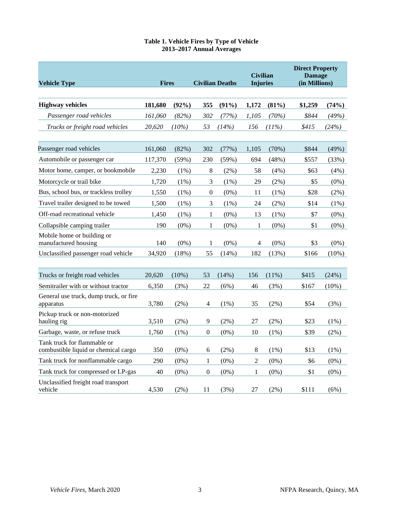#### **Table 1. Vehicle Fires by Type of Vehicle 2013–2017 Annual Averages**

<span id="page-3-0"></span>

| <b>Vehicle Type</b>                                                 | <b>Fires</b> |         |                  | <b>Civilian Deaths</b> | <b>Civilian</b><br><b>Injuries</b> |         |         | <b>Direct Property</b><br><b>Damage</b><br>(in Millions) |  |
|---------------------------------------------------------------------|--------------|---------|------------------|------------------------|------------------------------------|---------|---------|----------------------------------------------------------|--|
|                                                                     |              |         |                  |                        |                                    |         |         |                                                          |  |
| <b>Highway vehicles</b>                                             | 181,680      | (92%)   | 355              | (91%)                  | 1,172                              | (81%)   | \$1,259 | (74%)                                                    |  |
| Passenger road vehicles                                             | 161,060      | (82%)   | 302              | (77%)                  | 1,105                              | (70%)   | \$844   | (49%)                                                    |  |
| Trucks or freight road vehicles                                     | 20,620       | (10%)   | 53               | (14%)                  | 156                                | (11%)   | \$415   | (24%)                                                    |  |
| Passenger road vehicles                                             | 161,060      | (82%)   | 302              | (77%)                  | 1,105                              | (70%)   | \$844   | (49%)                                                    |  |
| Automobile or passenger car                                         | 117,370      | (59%)   | 230              | (59%)                  | 694                                | (48%)   | \$557   | (33%)                                                    |  |
| Motor home, camper, or bookmobile                                   | 2,230        | $(1\%)$ | 8                | (2%)                   | 58                                 | (4%)    | \$63    | (4%)                                                     |  |
| Motorcycle or trail bike                                            | 1,720        | $(1\%)$ | 3                | $(1\%)$                | 29                                 | $(2\%)$ | \$5     | $(0\%)$                                                  |  |
| Bus, school bus, or trackless trolley                               | 1,550        | $(1\%)$ | $\boldsymbol{0}$ | $(0\%)$                | 11                                 | $(1\%)$ | \$28    | $(2\%)$                                                  |  |
| Travel trailer designed to be towed                                 | 1,500        | (1%)    | 3                | $(1\%)$                | 24                                 | (2%)    | \$14    | (1%)                                                     |  |
| Off-road recreational vehicle                                       | 1,450        | $(1\%)$ | 1                | $(0\%)$                | 13                                 | (1%)    | \$7     | $(0\%)$                                                  |  |
| Collapsible camping trailer                                         | 190          | $(0\%)$ | 1                | $(0\%)$                | 1                                  | $(0\%)$ | \$1     | $(0\%)$                                                  |  |
| Mobile home or building or<br>manufactured housing                  | 140          | $(0\%)$ | 1                | $(0\%)$                | 4                                  | $(0\%)$ | \$3     | $(0\%)$                                                  |  |
| Unclassified passenger road vehicle                                 | 34,920       | (18%)   | 55               | (14%)                  | 182                                | (13%)   | \$166   | $(10\%)$                                                 |  |
| Trucks or freight road vehicles                                     | 20,620       | (10%)   | 53               | (14%)                  | 156                                | (11%)   | \$415   | (24%)                                                    |  |
| Semitrailer with or without tractor                                 | 6,350        | (3%)    | 22               | (6%)                   | 46                                 | (3%)    | \$167   | $(10\%)$                                                 |  |
| General use truck, dump truck, or fire<br>apparatus                 | 3,780        | $(2\%)$ | 4                | $(1\%)$                | 35                                 | $(2\%)$ | \$54    | (3%)                                                     |  |
| Pickup truck or non-motorized<br>hauling rig                        | 3,510        | $(2\%)$ | 9                | (2%)                   | 27                                 | $(2\%)$ | \$23    | $(1\%)$                                                  |  |
| Garbage, waste, or refuse truck                                     | 1,760        | (1%)    | $\boldsymbol{0}$ | $(0\%)$                | 10                                 | $(1\%)$ | \$39    | $(2\%)$                                                  |  |
| Tank truck for flammable or<br>combustible liquid or chemical cargo | 350          | $(0\%)$ | 6                | $(2\%)$                | 8                                  | $(1\%)$ | \$13    | $(1\%)$                                                  |  |
| Tank truck for nonflammable cargo                                   | 290          | $(0\%)$ | 1                | $(0\%)$                | 2                                  | $(0\%)$ | \$6     | $(0\%)$                                                  |  |
| Tank truck for compressed or LP-gas                                 | 40           | $(0\%)$ | $\boldsymbol{0}$ | $(0\%)$                | $\mathbf{1}$                       | $(0\%)$ | \$1     | $(0\%)$                                                  |  |
| Unclassified freight road transport<br>vehicle                      | 4,530        | (2%)    | 11               | (3%)                   | 27                                 | $(2\%)$ | \$111   | (6%)                                                     |  |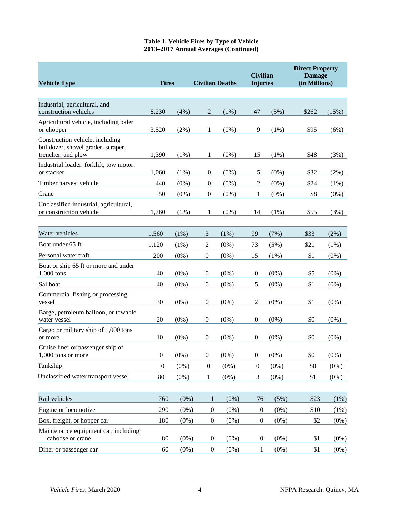#### **Table 1. Vehicle Fires by Type of Vehicle 2013–2017 Annual Averages (Continued)**

| <b>Vehicle Type</b>                                                                         | <b>Fires</b>     |         | <b>Civilian Deaths</b> |         | <b>Civilian</b><br><b>Injuries</b> |         | <b>Direct Property</b><br><b>Damage</b><br>(in Millions) |         |
|---------------------------------------------------------------------------------------------|------------------|---------|------------------------|---------|------------------------------------|---------|----------------------------------------------------------|---------|
|                                                                                             |                  |         |                        |         |                                    |         |                                                          |         |
| Industrial, agricultural, and<br>construction vehicles                                      | 8,230            | (4%)    | 2                      | (1%)    | 47                                 | (3%)    | \$262                                                    | (15%)   |
| Agricultural vehicle, including baler<br>or chopper                                         | 3,520            | $(2\%)$ | 1                      | $(0\%)$ | 9                                  | $(1\%)$ | \$95                                                     | (6%)    |
| Construction vehicle, including<br>bulldozer, shovel grader, scraper,<br>trencher, and plow | 1,390            | $(1\%)$ | 1                      | $(0\%)$ | 15                                 | (1%)    | \$48                                                     | (3%)    |
| Industrial loader, forklift, tow motor,<br>or stacker                                       | 1,060            | (1%)    | $\mathbf{0}$           | $(0\%)$ | 5                                  | $(0\%)$ | \$32                                                     | (2%)    |
| Timber harvest vehicle                                                                      | 440              | $(0\%)$ | $\boldsymbol{0}$       | $(0\%)$ | 2                                  | $(0\%)$ | \$24                                                     | (1%)    |
| Crane                                                                                       | 50               | $(0\%)$ | $\boldsymbol{0}$       | $(0\%)$ | 1                                  | $(0\%)$ | \$8                                                      | $(0\%)$ |
| Unclassified industrial, agricultural,<br>or construction vehicle                           | 1,760            | $(1\%)$ | 1                      | $(0\%)$ | 14                                 | (1%)    | \$55                                                     | (3%)    |
| Water vehicles                                                                              | 1,560            | (1%)    | 3                      | (1%)    | 99                                 | (7%)    | \$33                                                     | (2%)    |
| Boat under 65 ft                                                                            | 1,120            | (1%)    | 2                      | $(0\%)$ | 73                                 | (5%)    | \$21                                                     | (1%)    |
| Personal watercraft                                                                         | 200              | $(0\%)$ | $\boldsymbol{0}$       | $(0\%)$ | 15                                 | $(1\%)$ | \$1                                                      | $(0\%)$ |
| Boat or ship 65 ft or more and under<br>1,000 tons                                          | 40               | $(0\%)$ | $\boldsymbol{0}$       | $(0\%)$ | $\boldsymbol{0}$                   | $(0\%)$ | \$5                                                      | $(0\%)$ |
| Sailboat                                                                                    | 40               | $(0\%)$ | $\overline{0}$         | $(0\%)$ | 5                                  | $(0\%)$ | \$1                                                      | $(0\%)$ |
| Commercial fishing or processing<br>vessel                                                  | 30               | $(0\%)$ | $\boldsymbol{0}$       | $(0\%)$ | 2                                  | $(0\%)$ | \$1                                                      | $(0\%)$ |
| Barge, petroleum balloon, or towable<br>water vessel                                        | 20               | $(0\%)$ | $\boldsymbol{0}$       | $(0\%)$ | $\boldsymbol{0}$                   | $(0\%)$ | \$0                                                      | $(0\%)$ |
| Cargo or military ship of 1,000 tons<br>or more                                             | 10               | $(0\%)$ | $\boldsymbol{0}$       | $(0\%)$ | $\overline{0}$                     | $(0\%)$ | \$0                                                      | $(0\%)$ |
| Cruise liner or passenger ship of<br>1,000 tons or more                                     | $\boldsymbol{0}$ | $(0\%)$ | $\boldsymbol{0}$       | $(0\%)$ | $\boldsymbol{0}$                   | $(0\%)$ | \$0                                                      | $(0\%)$ |
| Tankship                                                                                    | $\boldsymbol{0}$ | $(0\%)$ | $\boldsymbol{0}$       | $(0\%)$ | $\boldsymbol{0}$                   | $(0\%)$ | \$0                                                      | $(0\%)$ |
| Unclassified water transport vessel                                                         | 80               | $(0\%)$ | 1                      | $(0\%)$ | 3                                  | $(0\%)$ | \$1                                                      | $(0\%)$ |
| Rail vehicles                                                                               | 760              | $(0\%)$ | $\mathbf{1}$           | (0%)    | 76                                 | (5%)    | \$23                                                     | (1%)    |
| Engine or locomotive                                                                        | 290              | $(0\%)$ | $\boldsymbol{0}$       | $(0\%)$ | $\boldsymbol{0}$                   | $(0\%)$ | \$10                                                     | $(1\%)$ |
| Box, freight, or hopper car                                                                 | 180              | $(0\%)$ | $\boldsymbol{0}$       | $(0\%)$ | $\boldsymbol{0}$                   | $(0\%)$ | \$2                                                      | $(0\%)$ |
| Maintenance equipment car, including<br>caboose or crane                                    | 80               | $(0\%)$ | $\boldsymbol{0}$       | (0%)    | $\boldsymbol{0}$                   | $(0\%)$ | \$1                                                      | $(0\%)$ |
| Diner or passenger car                                                                      | 60               | $(0\%)$ | $\boldsymbol{0}$       | $(0\%)$ | $\mathbf{1}$                       | $(0\%)$ | \$1                                                      | $(0\%)$ |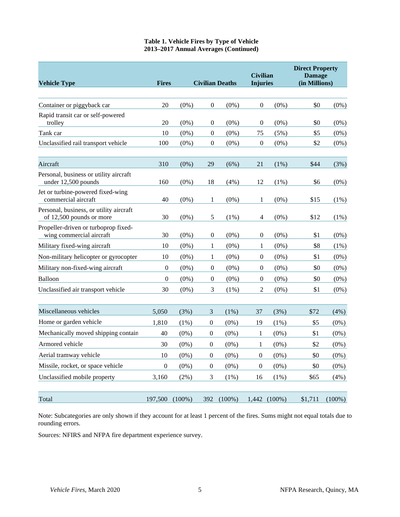#### **Table 1. Vehicle Fires by Type of Vehicle 2013–2017 Annual Averages (Continued)**

| <b>Vehicle Type</b>                                                 | <b>Fires</b><br><b>Civilian Deaths</b> |           |                  |           | <b>Civilian</b><br><b>Injuries</b> |              |         | <b>Direct Property</b><br><b>Damage</b><br>(in Millions) |  |
|---------------------------------------------------------------------|----------------------------------------|-----------|------------------|-----------|------------------------------------|--------------|---------|----------------------------------------------------------|--|
|                                                                     |                                        |           |                  |           |                                    |              |         |                                                          |  |
| Container or piggyback car                                          | 20                                     | $(0\%)$   | $\boldsymbol{0}$ | $(0\%)$   | $\boldsymbol{0}$                   | $(0\%)$      | \$0     | $(0\%)$                                                  |  |
| Rapid transit car or self-powered                                   |                                        |           |                  |           |                                    |              |         |                                                          |  |
| trolley                                                             | 20                                     | $(0\%)$   | 0                | $(0\%)$   | 0                                  | $(0\%)$      | \$0     | $(0\%)$                                                  |  |
| Tank car                                                            | 10                                     | $(0\%)$   | $\boldsymbol{0}$ | $(0\%)$   | 75                                 | (5%)         | \$5     | $(0\%)$                                                  |  |
| Unclassified rail transport vehicle                                 | 100                                    | $(0\%)$   | $\boldsymbol{0}$ | $(0\%)$   | $\boldsymbol{0}$                   | $(0\%)$      | \$2     | $(0\%)$                                                  |  |
| Aircraft                                                            | 310                                    | $(0\%)$   | 29               | (6%)      | 21                                 | (1%)         | \$44    | (3%)                                                     |  |
| Personal, business or utility aircraft<br>under 12,500 pounds       | 160                                    | $(0\%)$   | 18               | (4%)      | 12                                 | $(1\%)$      | \$6     | $(0\%)$                                                  |  |
| Jet or turbine-powered fixed-wing<br>commercial aircraft            | 40                                     | (0%)      | 1                | $(0\%)$   | 1                                  | $(0\%)$      | \$15    | (1%)                                                     |  |
| Personal, business, or utility aircraft<br>of 12,500 pounds or more | 30                                     | $(0\%)$   | 5                | $(1\%)$   | 4                                  | $(0\%)$      | \$12    | (1%)                                                     |  |
| Propeller-driven or turboprop fixed-<br>wing commercial aircraft    | 30                                     | $(0\%)$   | $\boldsymbol{0}$ | $(0\%)$   | $\boldsymbol{0}$                   | $(0\%)$      | \$1     | $(0\%)$                                                  |  |
| Military fixed-wing aircraft                                        | 10                                     | $(0\%)$   | 1                | $(0\%)$   | 1                                  | $(0\%)$      | \$8     | $(1\%)$                                                  |  |
| Non-military helicopter or gyrocopter                               | 10                                     | $(0\%)$   | $\mathbf{1}$     | $(0\%)$   | $\boldsymbol{0}$                   | $(0\%)$      | \$1     | $(0\%)$                                                  |  |
| Military non-fixed-wing aircraft                                    | $\overline{0}$                         | $(0\%)$   | $\boldsymbol{0}$ | $(0\%)$   | 0                                  | $(0\%)$      | \$0     | $(0\%)$                                                  |  |
| Balloon                                                             | $\boldsymbol{0}$                       | $(0\%)$   | $\boldsymbol{0}$ | $(0\%)$   | $\boldsymbol{0}$                   | $(0\%)$      | \$0     | $(0\%)$                                                  |  |
| Unclassified air transport vehicle                                  | 30                                     | $(0\%)$   | 3                | $(1\%)$   | $\overline{2}$                     | $(0\%)$      | \$1     | $(0\%)$                                                  |  |
| Miscellaneous vehicles                                              | 5,050                                  | (3%)      | 3                | $(1\%)$   | 37                                 | (3%)         | \$72    | (4%)                                                     |  |
| Home or garden vehicle                                              | 1,810                                  | $(1\%)$   | $\boldsymbol{0}$ | $(0\%)$   | 19                                 | $(1\%)$      | \$5     | $(0\%)$                                                  |  |
| Mechanically moved shipping contain                                 | 40                                     | $(0\%)$   | $\boldsymbol{0}$ | $(0\%)$   | 1                                  | $(0\%)$      | \$1     | $(0\%)$                                                  |  |
| Armored vehicle                                                     | 30                                     | $(0\%)$   | $\boldsymbol{0}$ | $(0\%)$   | 1                                  | $(0\%)$      | \$2     | $(0\%)$                                                  |  |
| Aerial tramway vehicle                                              | 10                                     | $(0\%)$   | $\boldsymbol{0}$ | $(0\%)$   | 0                                  | $(0\%)$      | \$0     | $(0\%)$                                                  |  |
| Missile, rocket, or space vehicle                                   | $\boldsymbol{0}$                       | $(0\%)$   | 0                | $(0\%)$   | $\boldsymbol{0}$                   | $(0\%)$      | \$0     | $(0\%)$                                                  |  |
|                                                                     |                                        |           |                  |           |                                    |              |         |                                                          |  |
| Unclassified mobile property                                        | 3,160                                  | $(2\%)$   | 3                | $(1\%)$   | 16                                 | (1%)         | \$65    | (4%)                                                     |  |
| Total                                                               | 197,500                                | $(100\%)$ | 392              | $(100\%)$ |                                    | 1,442 (100%) | \$1,711 | $(100\%)$                                                |  |

Note: Subcategories are only shown if they account for at least 1 percent of the fires. Sums might not equal totals due to rounding errors.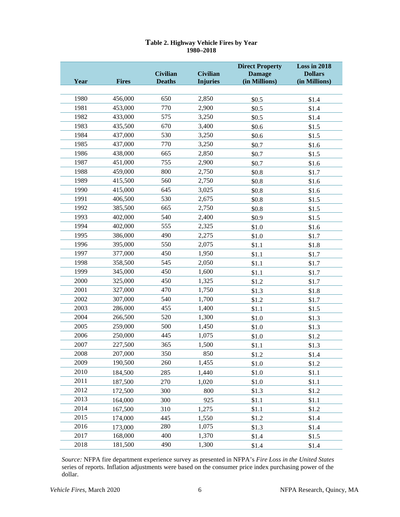<span id="page-6-0"></span>

|      |              |                 |                 | <b>Direct Property</b>         | Loss in 2018                    |
|------|--------------|-----------------|-----------------|--------------------------------|---------------------------------|
|      |              | <b>Civilian</b> | <b>Civilian</b> | <b>Damage</b><br>(in Millions) | <b>Dollars</b><br>(in Millions) |
| Year | <b>Fires</b> | <b>Deaths</b>   | <b>Injuries</b> |                                |                                 |
| 1980 | 456,000      | 650             | 2,850           | \$0.5                          | \$1.4                           |
| 1981 | 453,000      | 770             | 2,900           | \$0.5                          | \$1.4                           |
| 1982 | 433,000      | 575             | 3,250           | \$0.5                          | \$1.4                           |
| 1983 | 435,500      | 670             | 3,400           | \$0.6                          | \$1.5                           |
| 1984 | 437,000      | 530             | 3,250           | \$0.6                          | \$1.5                           |
| 1985 | 437,000      | 770             | 3,250           | \$0.7                          | \$1.6                           |
| 1986 | 438,000      | 665             | 2,850           | \$0.7                          | \$1.5                           |
| 1987 | 451,000      | 755             | 2,900           |                                |                                 |
| 1988 | 459,000      | 800             | 2,750           | \$0.7                          | \$1.6                           |
| 1989 | 415,500      | 560             | 2,750           | \$0.8                          | \$1.7                           |
| 1990 | 415,000      | 645             | 3,025           | \$0.8                          | \$1.6                           |
|      | 406,500      | 530             |                 | \$0.8                          | \$1.6                           |
| 1991 |              |                 | 2,675           | \$0.8                          | \$1.5                           |
| 1992 | 385,500      | 665             | 2,750           | \$0.8                          | \$1.5                           |
| 1993 | 402,000      | 540             | 2,400           | \$0.9                          | \$1.5                           |
| 1994 | 402,000      | 555             | 2,325           | \$1.0                          | \$1.6                           |
| 1995 | 386,000      | 490             | 2,275           | \$1.0                          | \$1.7                           |
| 1996 | 395,000      | 550             | 2,075           | \$1.1                          | \$1.8                           |
| 1997 | 377,000      | 450             | 1,950           | \$1.1                          | \$1.7                           |
| 1998 | 358,500      | 545             | 2,050           | \$1.1                          | \$1.7                           |
| 1999 | 345,000      | 450             | 1,600           | \$1.1                          | \$1.7                           |
| 2000 | 325,000      | 450             | 1,325           | \$1.2                          | \$1.7                           |
| 2001 | 327,000      | 470             | 1,750           | \$1.3                          | \$1.8                           |
| 2002 | 307,000      | 540             | 1,700           | \$1.2                          | \$1.7                           |
| 2003 | 286,000      | 455             | 1,400           | \$1.1                          | \$1.5                           |
| 2004 | 266,500      | 520             | 1,300           | \$1.0                          | \$1.3                           |
| 2005 | 259,000      | 500             | 1,450           | \$1.0                          | \$1.3                           |
| 2006 | 250,000      | 445             | 1,075           | \$1.0                          | \$1.2                           |
| 2007 | 227,500      | 365             | 1,500           | \$1.1                          | \$1.3                           |
| 2008 | 207,000      | 350             | 850             | \$1.2                          | \$1.4                           |
| 2009 | 190,500      | 260             | 1,455           | \$1.0                          | \$1.2                           |
| 2010 | 184,500      | 285             | 1,440           | \$1.0                          | \$1.1                           |
| 2011 | 187,500      | 270             | 1,020           | \$1.0                          | \$1.1                           |
| 2012 | 172,500      | 300             | 800             | \$1.3                          | \$1.2                           |
| 2013 | 164,000      | 300             | 925             | \$1.1                          | \$1.1                           |
| 2014 | 167,500      | 310             | 1,275           | \$1.1                          | \$1.2                           |
| 2015 | 174,000      | 445             | 1,550           | \$1.2                          | \$1.4                           |
| 2016 | 173,000      | 280             | 1,075           | \$1.3                          | \$1.4                           |
| 2017 | 168,000      | 400             | 1,370           | \$1.4                          | \$1.5                           |
| 2018 | 181,500      | 490             | 1,300           | \$1.4                          | \$1.4                           |

#### **Table 2. Highway Vehicle Fires by Year 1980–2018**

*Source:* NFPA fire department experience survey as presented in NFPA's *Fire Loss in the United States*  series of reports. Inflation adjustments were based on the consumer price index purchasing power of the dollar.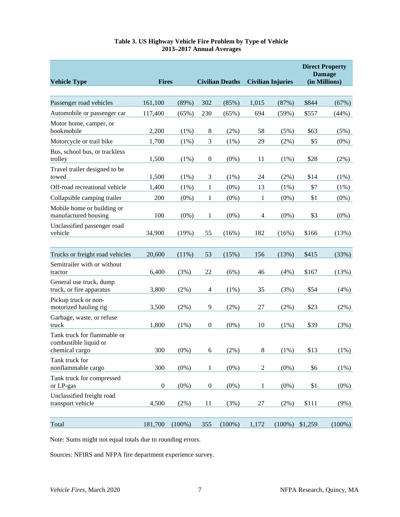<span id="page-7-0"></span>

| <b>Vehicle Type</b>                                                    | <b>Fires</b>     |           |                  | <b>Civilian Deaths</b> |                  | <b>Civilian Injuries</b> |         | <b>Direct Property</b><br><b>Damage</b><br>(in Millions) |
|------------------------------------------------------------------------|------------------|-----------|------------------|------------------------|------------------|--------------------------|---------|----------------------------------------------------------|
|                                                                        |                  |           |                  |                        |                  |                          |         |                                                          |
| Passenger road vehicles                                                | 161,100          | (89%)     | 302              | (85%)                  | 1,015            | (87%)                    | \$844   | (67%)                                                    |
| Automobile or passenger car                                            | 117,400          | (65%)     | 230              | (65%)                  | 694              | (59%)                    | \$557   | (44%)                                                    |
| Motor home, camper, or<br>bookmobile                                   | 2,200            | (1%)      | 8                | $(2\%)$                | 58               | (5%)                     | \$63    | (5%)                                                     |
| Motorcycle or trail bike                                               | 1,700            | $(1\%)$   | 3                | (1%)                   | 29               | $(2\%)$                  | \$5     | $(0\%)$                                                  |
| Bus, school bus, or trackless<br>trolley                               | 1,500            | $(1\%)$   | $\boldsymbol{0}$ | $(0\%)$                | 11               | (1%)                     | \$28    | (2%)                                                     |
| Travel trailer designed to be<br>towed                                 | 1,500            | (1%)      | 3                | (1%)                   | 24               | (2%)                     | \$14    | (1%)                                                     |
| Off-road recreational vehicle                                          | 1,400            | $(1\%)$   | 1                | $(0\%)$                | 13               | (1%)                     | \$7     | (1%)                                                     |
| Collapsible camping trailer                                            | 200              | $(0\%)$   | 1                | (0%)                   | $\mathbf{1}$     | $(0\%)$                  | \$1     | $(0\%)$                                                  |
| Mobile home or building or<br>manufactured housing                     | 100              | $(0\%)$   | 1                | $(0\%)$                | $\overline{4}$   | $(0\%)$                  | \$3     | $(0\%)$                                                  |
| Unclassified passenger road<br>vehicle                                 | 34,900           | (19%)     | 55               | (16%)                  | 182              | (16%)                    | \$166   | (13%)                                                    |
| Trucks or freight road vehicles                                        | 20,600           | (11%)     | 53               | (15%)                  | 156              | (13%)                    | \$415   | (33%)                                                    |
| Semitrailer with or without<br>tractor                                 | 6,400            | (3%)      | 22               | (6%)                   | 46               | (4%)                     | \$167   | (13%)                                                    |
| General use truck, dump<br>truck, or fire apparatus                    | 3,800            | (2%)      | $\overline{4}$   | (1%)                   | 35               | (3%)                     | \$54    | (4%)                                                     |
| Pickup truck or non-<br>motorized hauling rig                          | 3,500            | $(2\%)$   | 9                | (2%)                   | 27               | (2%)                     | \$23    | (2%)                                                     |
| Garbage, waste, or refuse<br>truck                                     | 1,800            | $(1\%)$   | $\boldsymbol{0}$ | (0%)                   | 10               | (1%)                     | \$39    | (3%)                                                     |
| Tank truck for flammable or<br>combustible liquid or<br>chemical cargo | 300              | $(0\%)$   | $\boldsymbol{6}$ | (2%)                   | 8                | (1%)                     | \$13    | (1%)                                                     |
| Tank truck for<br>nonflammable cargo                                   | 300              | $(0\%)$   | $\mathbf{1}$     | $(0\%)$                | $\boldsymbol{2}$ | $(0\%)$                  | \$6     | (1%)                                                     |
| Tank truck for compressed<br>or LP-gas                                 | $\boldsymbol{0}$ | $(0\%)$   | $\boldsymbol{0}$ | $(0\%)$                | $\mathbf{1}$     | $(0\%)$                  | \$1     | $(0\%)$                                                  |
| Unclassified freight road<br>transport vehicle                         | 4,500            | (2%)      | 11               | (3%)                   | $27\,$           | $(2\%)$                  | \$111   | (9%)                                                     |
| Total                                                                  | 181,700          | $(100\%)$ | 355              | $(100\%)$              | 1,172            | $(100\%)$                | \$1,259 | $(100\%)$                                                |

# **Table 3. US Highway Vehicle Fire Problem by Type of Vehicle 2013–2017 Annual Averages**

Note: Sums might not equal totals due to rounding errors.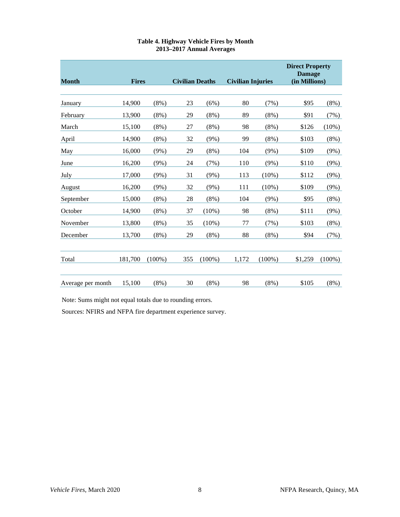<span id="page-8-0"></span>

| <b>Month</b>      | <b>Fires</b> |           | <b>Civilian Deaths</b> |           | <b>Civilian Injuries</b> |           | <b>Direct Property</b><br><b>Damage</b><br>(in Millions) |           |
|-------------------|--------------|-----------|------------------------|-----------|--------------------------|-----------|----------------------------------------------------------|-----------|
|                   |              |           |                        |           |                          |           |                                                          |           |
| January           | 14,900       | $(8\%)$   | 23                     | (6%)      | 80                       | (7%)      | \$95                                                     | $(8\%)$   |
| February          | 13,900       | $(8\%)$   | 29                     | $(8\%)$   | 89                       | $(8\%)$   | \$91                                                     | (7%)      |
| March             | 15,100       | $(8\%)$   | 27                     | $(8\%)$   | 98                       | $(8\%)$   | \$126                                                    | (10%)     |
| April             | 14,900       | $(8\%)$   | 32                     | $(9\%)$   | 99                       | $(8\%)$   | \$103                                                    | $(8\%)$   |
| May               | 16,000       | $(9\%)$   | 29                     | $(8\%)$   | 104                      | (9%)      | \$109                                                    | $(9\%)$   |
| June              | 16,200       | $(9\%)$   | 24                     | (7%)      | 110                      | $(9\%)$   | \$110                                                    | $(9\%)$   |
| July              | 17,000       | $(9\%)$   | 31                     | $(9\%)$   | 113                      | $(10\%)$  | \$112                                                    | $(9\%)$   |
| August            | 16,200       | $(9\%)$   | 32                     | $(9\%)$   | 111                      | $(10\%)$  | \$109                                                    | $(9\%)$   |
| September         | 15,000       | (8%)      | 28                     | $(8\%)$   | 104                      | $(9\%)$   | \$95                                                     | (8%)      |
| October           | 14,900       | $(8\%)$   | 37                     | $(10\%)$  | 98                       | $(8\%)$   | \$111                                                    | $(9\%)$   |
| November          | 13,800       | $(8\%)$   | 35                     | (10%)     | 77                       | (7%)      | \$103                                                    | $(8\%)$   |
| December          | 13,700       | $(8\%)$   | 29                     | $(8\%)$   | 88                       | $(8\%)$   | \$94                                                     | (7%)      |
| Total             | 181,700      | $(100\%)$ | 355                    | $(100\%)$ | 1.172                    | $(100\%)$ | \$1,259                                                  | $(100\%)$ |
| Average per month | 15,100       | $(8\%)$   | 30                     | $(8\%)$   | 98                       | $(8\%)$   | \$105                                                    | $(8\%)$   |

#### **Table 4. Highway Vehicle Fires by Month 2013–2017 Annual Averages**

Note: Sums might not equal totals due to rounding errors.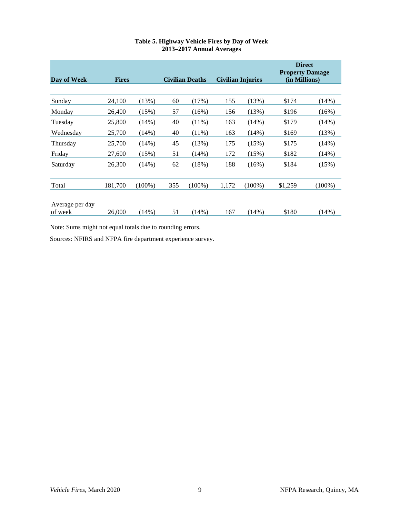<span id="page-9-0"></span>

| Day of Week                | <b>Fires</b> |           |     | <b>Civilian Deaths</b> |       | Civilian Injuries | <b>Direct</b><br><b>Property Damage</b><br>(in Millions) |           |
|----------------------------|--------------|-----------|-----|------------------------|-------|-------------------|----------------------------------------------------------|-----------|
|                            |              |           |     |                        |       |                   |                                                          |           |
| Sunday                     | 24,100       | (13%)     | 60  | (17%)                  | 155   | (13%)             | \$174                                                    | (14%)     |
| Monday                     | 26,400       | (15%)     | 57  | (16%)                  | 156   | (13%)             | \$196                                                    | (16%)     |
| Tuesday                    | 25,800       | (14%)     | 40  | $(11\%)$               | 163   | (14%)             | \$179                                                    | (14%)     |
| Wednesday                  | 25,700       | $(14\%)$  | 40  | $(11\%)$               | 163   | $(14\%)$          | \$169                                                    | (13%)     |
| Thursday                   | 25,700       | (14%)     | 45  | (13%)                  | 175   | (15%)             | \$175                                                    | (14%)     |
| Friday                     | 27,600       | (15%)     | 51  | $(14\%)$               | 172   | (15%)             | \$182                                                    | $(14\%)$  |
| Saturday                   | 26,300       | $(14\%)$  | 62  | (18%)                  | 188   | (16%)             | \$184                                                    | (15%)     |
|                            |              |           |     |                        |       |                   |                                                          |           |
| Total                      | 181,700      | $(100\%)$ | 355 | $(100\%)$              | 1,172 | $(100\%)$         | \$1,259                                                  | $(100\%)$ |
|                            |              |           |     |                        |       |                   |                                                          |           |
| Average per day<br>of week | 26,000       | $(14\%)$  | 51  | $(14\%)$               | 167   | $(14\%)$          | \$180                                                    | $(14\%)$  |
|                            |              |           |     |                        |       |                   |                                                          |           |

# **Table 5. Highway Vehicle Fires by Day of Week 2013–2017 Annual Averages**

Note: Sums might not equal totals due to rounding errors.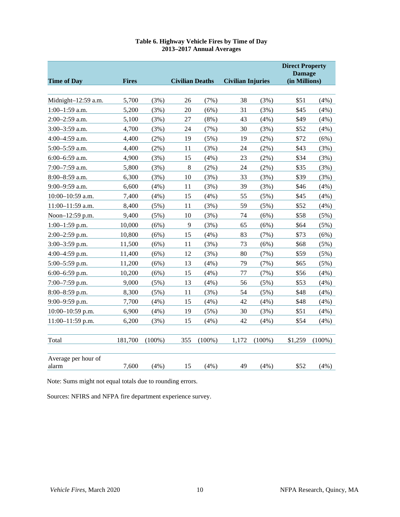<span id="page-10-0"></span>

| <b>Time of Day</b>           | <b>Fires</b> |           | <b>Civilian Deaths</b> |           | <b>Civilian Injuries</b> |           | <b>Direct Property</b><br><b>Damage</b><br>(in Millions) |           |
|------------------------------|--------------|-----------|------------------------|-----------|--------------------------|-----------|----------------------------------------------------------|-----------|
|                              |              |           |                        |           |                          |           |                                                          |           |
| Midnight-12:59 a.m.          | 5,700        | (3%)      | 26                     | (7%)      | 38                       | (3%)      | \$51                                                     | (4%)      |
| $1:00-1:59$ a.m.             | 5,200        | (3%)      | 20                     | (6%)      | 31                       | (3%)      | \$45                                                     | (4%)      |
| 2:00-2:59 a.m.               | 5,100        | (3%)      | 27                     | $(8\%)$   | 43                       | (4%)      | \$49                                                     | (4%)      |
| 3:00-3:59 a.m.               | 4,700        | (3%)      | 24                     | (7%)      | 30                       | (3%)      | \$52                                                     | (4%)      |
| 4:00-4:59 a.m.               | 4,400        | $(2\%)$   | 19                     | (5%)      | 19                       | (2%)      | \$72                                                     | (6%)      |
| 5:00-5:59 a.m.               | 4,400        | $(2\%)$   | 11                     | (3%)      | 24                       | $(2\%)$   | \$43                                                     | (3%)      |
| 6:00-6:59 a.m.               | 4,900        | (3%)      | 15                     | (4%)      | 23                       | $(2\%)$   | \$34                                                     | (3%)      |
| 7:00-7:59 a.m.               | 5,800        | (3%)      | 8                      | (2%)      | 24                       | $(2\%)$   | \$35                                                     | (3%)      |
| 8:00-8:59 a.m.               | 6,300        | (3%)      | 10                     | (3%)      | 33                       | (3%)      | \$39                                                     | (3%)      |
| 9:00-9:59 a.m.               | 6,600        | (4%)      | 11                     | (3%)      | 39                       | (3%)      | \$46                                                     | (4%)      |
| 10:00-10:59 a.m.             | 7,400        | (4%)      | 15                     | (4%)      | 55                       | (5%)      | \$45                                                     | (4%)      |
| 11:00-11:59 a.m.             | 8,400        | (5%)      | 11                     | (3%)      | 59                       | (5%)      | \$52                                                     | (4%)      |
| Noon-12:59 p.m.              | 9,400        | (5%)      | 10                     | (3%)      | 74                       | (6%)      | \$58                                                     | (5%)      |
| $1:00-1:59$ p.m.             | 10,000       | (6%)      | 9                      | (3%)      | 65                       | (6%)      | \$64                                                     | (5%)      |
| 2:00-2:59 p.m.               | 10,800       | (6%)      | 15                     | (4%)      | 83                       | (7%)      | \$73                                                     | (6%)      |
| 3:00-3:59 p.m.               | 11,500       | (6%)      | 11                     | (3%)      | 73                       | (6%)      | \$68                                                     | (5%)      |
| 4:00-4:59 p.m.               | 11,400       | (6%)      | 12                     | (3%)      | 80                       | (7%)      | \$59                                                     | (5%)      |
| 5:00-5:59 p.m.               | 11,200       | (6%)      | 13                     | (4%)      | 79                       | (7%)      | \$65                                                     | (5%)      |
| $6:00-6:59$ p.m.             | 10,200       | (6%)      | 15                     | (4%)      | 77                       | (7%)      | \$56                                                     | (4%)      |
| 7:00-7:59 p.m.               | 9,000        | (5%)      | 13                     | (4%)      | 56                       | (5%)      | \$53                                                     | (4%)      |
| 8:00-8:59 p.m.               | 8,300        | (5%)      | 11                     | (3%)      | 54                       | (5%)      | \$48                                                     | (4%)      |
| 9:00-9:59 p.m.               | 7,700        | (4%)      | 15                     | (4%)      | 42                       | (4%)      | \$48                                                     | (4%)      |
| 10:00-10:59 p.m.             | 6,900        | (4%)      | 19                     | (5%)      | 30                       | (3%)      | \$51                                                     | (4%)      |
| $11:00-11:59$ p.m.           | 6,200        | (3%)      | 15                     | (4%)      | 42                       | (4%)      | \$54                                                     | (4%)      |
| Total                        | 181,700      | $(100\%)$ | 355                    | $(100\%)$ | 1,172                    | $(100\%)$ | \$1,259                                                  | $(100\%)$ |
| Average per hour of<br>alarm | 7,600        | (4%)      | 15                     | (4% )     | 49                       | (4%)      | \$52                                                     | (4%)      |

# **Table 6. Highway Vehicle Fires by Time of Day 2013–2017 Annual Averages**

Note: Sums might not equal totals due to rounding errors.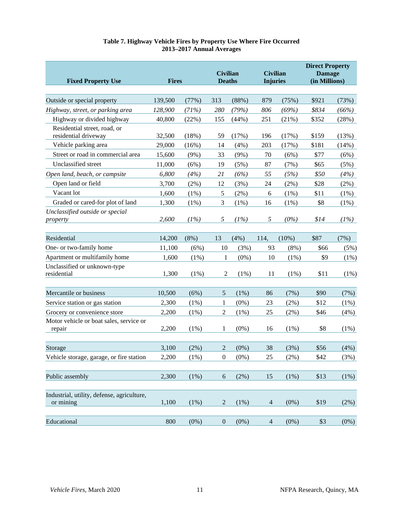<span id="page-11-0"></span>

| <b>Fixed Property Use</b>                               | <b>Fires</b> |         | <b>Civilian</b><br><b>Deaths</b> |         | <b>Civilian</b><br><b>Injuries</b> |          | <b>Direct Property</b><br><b>Damage</b><br>(in Millions) |         |
|---------------------------------------------------------|--------------|---------|----------------------------------|---------|------------------------------------|----------|----------------------------------------------------------|---------|
| Outside or special property                             | 139,500      | (77%)   | 313                              | (88%)   | 879                                | (75%)    | \$921                                                    | (73%)   |
| Highway, street, or parking area                        | 128,900      | (71%)   | 280                              | (79%)   | 806                                | (69%)    | \$834                                                    | (66%)   |
| Highway or divided highway                              | 40,800       | (22%)   | 155                              | (44%)   | 251                                | (21%)    | \$352                                                    | (28%)   |
| Residential street, road, or<br>residential driveway    | 32,500       | (18%)   | 59                               | (17%)   | 196                                | (17%)    | \$159                                                    | (13%)   |
| Vehicle parking area                                    | 29,000       | (16%)   | 14                               | (4%)    | 203                                | (17%)    | \$181                                                    | (14%)   |
| Street or road in commercial area                       | 15,600       | (9%)    | 33                               | $(9\%)$ | 70                                 | (6%)     | \$77                                                     | (6%)    |
| Unclassified street                                     | 11,000       | (6%)    | 19                               | (5%)    | 87                                 | (7%)     | \$65                                                     | (5%)    |
| Open land, beach, or campsite                           | 6,800        | (4%)    | 21                               | (6%)    | 55                                 | (5%)     | \$50                                                     | (4%)    |
| Open land or field                                      | 3,700        | (2%)    | 12                               | (3%)    | 24                                 | (2%)     | \$28                                                     | (2%)    |
| Vacant lot                                              | 1,600        | $(1\%)$ | 5                                | $(2\%)$ | 6                                  | (1%)     | \$11                                                     | (1%)    |
| Graded or cared-for plot of land                        | 1,300        | $(1\%)$ | 3                                | $(1\%)$ | 16                                 | $(1\%)$  | \$8                                                      | (1%)    |
| Unclassified outside or special<br>property             | 2,600        | (1%)    | 5                                | (1%)    | 5                                  | (0%)     | \$14                                                     | (1%)    |
| Residential                                             | 14,200       | (8%)    | 13                               | (4%)    | 114,                               | $(10\%)$ | \$87                                                     | (7%)    |
| One- or two-family home                                 | 11,100       | (6%)    | 10                               | (3%)    | 93                                 | $(8\%)$  | \$66                                                     | (5%)    |
| Apartment or multifamily home                           | 1,600        | (1%)    | $\mathbf{1}$                     | $(0\%)$ | 10                                 | $(1\%)$  | \$9                                                      | (1%)    |
| Unclassified or unknown-type<br>residential             | 1,300        | $(1\%)$ | 2                                | (1%)    | 11                                 | $(1\%)$  | \$11                                                     | (1%)    |
| Mercantile or business                                  | 10,500       | (6%)    | 5                                | (1%)    | 86                                 | (7%)     | \$90                                                     | (7%)    |
| Service station or gas station                          | 2,300        | $(1\%)$ | 1                                | $(0\%)$ | 23                                 | (2%)     | \$12                                                     | (1%)    |
| Grocery or convenience store                            | 2,200        | $(1\%)$ | 2                                | (1%)    | 25                                 | (2%)     | \$46                                                     | (4%)    |
| Motor vehicle or boat sales, service or<br>repair       | 2,200        | $(1\%)$ | 1                                | $(0\%)$ | 16                                 | $(1\%)$  | \$8                                                      | $(1\%)$ |
| Storage                                                 | 3,100        | (2%)    | 2                                | $(0\%)$ | 38                                 | (3%)     | \$56                                                     | (4%)    |
| Vehicle storage, garage, or fire station                | 2,200        | $(1\%)$ | $\boldsymbol{0}$                 | $(0\%)$ | 25                                 | $(2\%)$  | \$42                                                     | (3%)    |
| Public assembly                                         | 2,300        | (1%)    | 6                                | $(2\%)$ | 15                                 | $(1\%)$  | \$13                                                     | (1%)    |
| Industrial, utility, defense, agriculture,<br>or mining | 1,100        | $(1\%)$ | $\overline{c}$                   | (1%)    | $\overline{4}$                     | $(0\%)$  | \$19                                                     | (2%)    |
| Educational                                             | 800          | $(0\%)$ | $\boldsymbol{0}$                 | (0%)    | $\overline{4}$                     | $(0\%)$  | \$3                                                      | $(0\%)$ |

# **Table 7. Highway Vehicle Fires by Property Use Where Fire Occurred 2013–2017 Annual Averages**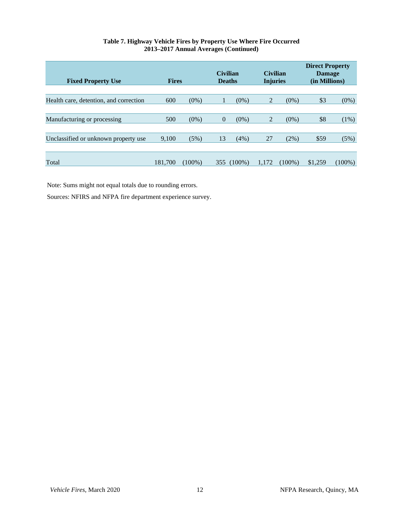| <b>Fixed Property Use</b>              | <b>Fires</b> |           | <b>Civilian</b><br><b>Deaths</b> |           | <b>Civilian</b><br><b>Injuries</b> |           | <b>Direct Property</b><br><b>Damage</b><br>(in Millions) |           |
|----------------------------------------|--------------|-----------|----------------------------------|-----------|------------------------------------|-----------|----------------------------------------------------------|-----------|
| Health care, detention, and correction | 600          | $(0\%)$   |                                  | $(0\%)$   | $\overline{2}$                     | $(0\%)$   | \$3                                                      | $(0\%)$   |
| Manufacturing or processing            | 500          | $(0\%)$   | $\overline{0}$                   | $(0\%)$   | 2                                  | $(0\%)$   | \$8                                                      | (1%)      |
| Unclassified or unknown property use   | 9.100        | (5%)      | 13                               | (4%)      | 27                                 | (2%)      | \$59                                                     | (5%)      |
| Total                                  | 181,700      | $(100\%)$ | 355                              | $(100\%)$ | 1,172                              | $(100\%)$ | \$1,259                                                  | $(100\%)$ |

#### **Table 7. Highway Vehicle Fires by Property Use Where Fire Occurred 2013–2017 Annual Averages (Continued)**

Note: Sums might not equal totals due to rounding errors.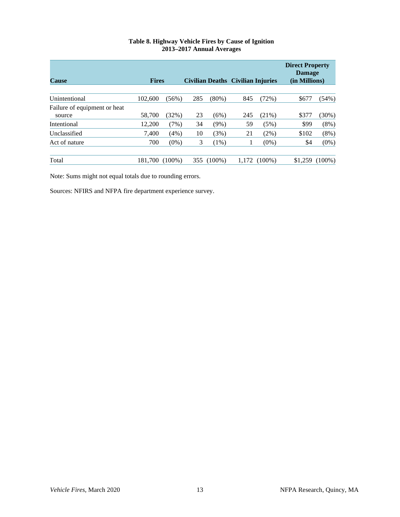#### **Table 8. Highway Vehicle Fires by Cause of Ignition 2013–2017 Annual Averages**

<span id="page-13-0"></span>

| <b>Cause</b>                 | <b>Fires</b> |           |     |           | <b>Civilian Deaths Civilian Injuries</b> |           | <b>Direct Property</b><br><b>Damage</b><br>(in Millions) |           |
|------------------------------|--------------|-----------|-----|-----------|------------------------------------------|-----------|----------------------------------------------------------|-----------|
|                              |              |           |     |           |                                          |           |                                                          |           |
| Unintentional                | 102,600      | (56%)     | 285 | $(80\%)$  | 845                                      | (72%)     | \$677                                                    | (54%)     |
| Failure of equipment or heat |              |           |     |           |                                          |           |                                                          |           |
| source                       | 58,700       | $(32\%)$  | 23  | (6%)      | 245                                      | $(21\%)$  | \$377                                                    | (30%)     |
| Intentional                  | 12,200       | (7%)      | 34  | $(9\%)$   | 59                                       | (5%)      | \$99                                                     | (8%)      |
| Unclassified                 | 7.400        | (4%)      | 10  | (3%)      | 21                                       | $(2\%)$   | \$102                                                    | $(8\%)$   |
| Act of nature                | 700          | $(0\%)$   | 3   | $(1\%)$   | 1                                        | $(0\%)$   | \$4                                                      | $(0\%)$   |
| Total                        | 181.700      | $(100\%)$ | 355 | $(100\%)$ | 1.172                                    | $(100\%)$ | \$1,259                                                  | $(100\%)$ |

Note: Sums might not equal totals due to rounding errors.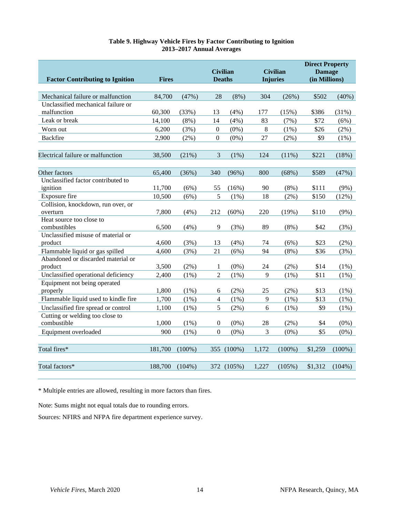#### **Table 9. Highway Vehicle Fires by Factor Contributing to Ignition 2013–2017 Annual Averages**

<span id="page-14-0"></span>

| <b>Factor Contributing to Ignition</b>         | <b>Fires</b> |           |                          | <b>Civilian</b><br><b>Deaths</b> |       | <b>Civilian</b><br><b>Injuries</b> | <b>Direct Property</b><br><b>Damage</b><br>(in Millions) |           |
|------------------------------------------------|--------------|-----------|--------------------------|----------------------------------|-------|------------------------------------|----------------------------------------------------------|-----------|
| Mechanical failure or malfunction              | 84,700       | (47%)     | 28                       | (8%)                             | 304   | (26%)                              | \$502                                                    | (40%)     |
| Unclassified mechanical failure or             |              |           |                          |                                  |       |                                    |                                                          |           |
| malfunction                                    | 60,300       | (33%)     | 13                       | (4%)                             | 177   | (15%)                              | \$386                                                    | (31%)     |
| Leak or break                                  | 14,100       | $(8\%)$   | 14                       | (4%)                             | 83    | (7%)                               | \$72                                                     | (6%)      |
| Worn out                                       | 6,200        | (3%)      | $\boldsymbol{0}$         | $(0\%)$                          | $8\,$ | (1%)                               | \$26                                                     | (2%)      |
| <b>Backfire</b>                                | 2,900        | $(2\%)$   | $\boldsymbol{0}$         | $(0\%)$                          | 27    | $(2\%)$                            | \$9                                                      | (1%)      |
| Electrical failure or malfunction              | 38,500       | (21%)     | 3                        | $(1\%)$                          | 124   | (11%)                              | \$221                                                    | (18%)     |
| Other factors                                  | 65,400       | (36%)     | 340                      | (96%)                            | 800   | (68%)                              | \$589                                                    | (47%)     |
| Unclassified factor contributed to             |              |           |                          |                                  |       |                                    |                                                          |           |
| ignition                                       | 11,700       | (6%)      | 55                       | (16%)                            | 90    | $(8\%)$                            | \$111                                                    | $(9\%)$   |
| Exposure fire                                  | 10,500       | (6%)      | 5                        | $(1\%)$                          | 18    | $(2\%)$                            | \$150                                                    | (12%)     |
| Collision, knockdown, run over, or<br>overturn | 7,800        | (4%)      | 212                      | (60%)                            | 220   | (19%)                              | \$110                                                    | $(9\%)$   |
| Heat source too close to                       |              |           |                          |                                  |       |                                    |                                                          |           |
| combustibles                                   | 6,500        | (4%)      | 9                        | (3%)                             | 89    | $(8\%)$                            | \$42                                                     | (3%)      |
| Unclassified misuse of material or             |              |           |                          |                                  |       |                                    |                                                          |           |
| product                                        | 4,600        | (3%)      | 13                       | (4%)                             | 74    | (6%)                               | \$23                                                     | $(2\%)$   |
| Flammable liquid or gas spilled                | 4,600        | (3%)      | 21                       | (6%)                             | 94    | (8%)                               | \$36                                                     | (3%)      |
| Abandoned or discarded material or             |              |           |                          |                                  |       |                                    |                                                          |           |
| product                                        | 3,500        | (2%)      | 1                        | $(0\%)$                          | 24    | $(2\%)$                            | \$14                                                     | $(1\%)$   |
| Unclassified operational deficiency            | 2,400        | $(1\%)$   | $\overline{2}$           | $(1\%)$                          | 9     | $(1\%)$                            | \$11                                                     | $(1\%)$   |
| Equipment not being operated                   |              |           |                          |                                  |       |                                    |                                                          |           |
| properly                                       | 1,800        | $(1\%)$   | 6                        | $(2\%)$                          | 25    | $(2\%)$                            | \$13                                                     | (1%)      |
| Flammable liquid used to kindle fire           | 1,700        | $(1\%)$   | $\overline{\mathcal{L}}$ | $(1\%)$                          | 9     | $(1\%)$                            | \$13                                                     | $(1\%)$   |
| Unclassified fire spread or control            | 1,100        | $(1\%)$   | 5                        | (2%)                             | 6     | $(1\%)$                            | \$9                                                      | $(1\%)$   |
| Cutting or welding too close to<br>combustible | 1,000        | $(1\%)$   | $\mathbf{0}$             | $(0\%)$                          | 28    | $(2\%)$                            | \$4                                                      | $(0\%)$   |
| Equipment overloaded                           | 900          | $(1\%)$   | $\boldsymbol{0}$         | $(0\%)$                          | 3     | $(0\%)$                            | \$5                                                      | $(0\%)$   |
| Total fires*                                   | 181,700      | $(100\%)$ |                          | 355 (100%)                       | 1,172 | $(100\%)$                          | \$1,259                                                  | $(100\%)$ |
| Total factors*                                 | 188,700      | $(104\%)$ |                          | 372 (105%)                       | 1,227 | $(105\%)$                          | \$1,312                                                  | $(104\%)$ |

\* Multiple entries are allowed, resulting in more factors than fires.

Note: Sums might not equal totals due to rounding errors.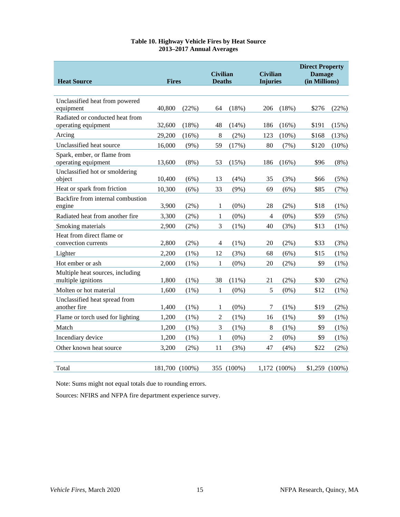<span id="page-15-0"></span>

| <b>Heat Source</b>                                     | <b>Fires</b>   |         | <b>Civilian</b><br><b>Deaths</b> |            |                | <b>Civilian</b><br><b>Injuries</b> |       | <b>Direct Property</b><br><b>Damage</b><br>(in Millions) |  |
|--------------------------------------------------------|----------------|---------|----------------------------------|------------|----------------|------------------------------------|-------|----------------------------------------------------------|--|
| Unclassified heat from powered                         |                |         |                                  |            |                |                                    |       |                                                          |  |
| equipment                                              | 40,800         | (22%)   | 64                               | (18%)      | 206            | (18%)                              | \$276 | (22%)                                                    |  |
| Radiated or conducted heat from<br>operating equipment | 32,600         | (18%)   | 48                               | (14%)      | 186            | (16%)                              | \$191 | (15%)                                                    |  |
| Arcing                                                 | 29,200         | (16%)   | $\,8\,$                          | $(2\%)$    | 123            | (10%)                              | \$168 | (13%)                                                    |  |
| Unclassified heat source                               | 16,000         | $(9\%)$ | 59                               | (17%)      | 80             | (7%)                               | \$120 | (10%)                                                    |  |
| Spark, ember, or flame from<br>operating equipment     | 13,600         | $(8\%)$ | 53                               | (15%)      | 186            | (16%)                              | \$96  | $(8\%)$                                                  |  |
| Unclassified hot or smoldering<br>object               | 10,400         | (6%)    | 13                               | (4%)       | 35             | (3%)                               | \$66  | (5%)                                                     |  |
| Heat or spark from friction                            | 10,300         | (6%)    | 33                               | $(9\%)$    | 69             | (6%)                               | \$85  | (7%)                                                     |  |
| Backfire from internal combustion<br>engine            | 3,900          | $(2\%)$ | 1                                | $(0\%)$    | 28             | (2%)                               | \$18  | (1%)                                                     |  |
| Radiated heat from another fire                        | 3,300          | $(2\%)$ | 1                                | $(0\%)$    | 4              | $(0\%)$                            | \$59  | (5%)                                                     |  |
| Smoking materials                                      | 2,900          | $(2\%)$ | 3                                | $(1\%)$    | 40             | (3%)                               | \$13  | $(1\%)$                                                  |  |
| Heat from direct flame or<br>convection currents       | 2,800          | (2%)    | $\overline{\mathcal{A}}$         | (1%)       | 20             | (2%)                               | \$33  | (3%)                                                     |  |
| Lighter                                                | 2,200          | (1%)    | 12                               | (3%)       | 68             | (6%)                               | \$15  | (1%)                                                     |  |
| Hot ember or ash                                       | 2,000          | (1%)    | 1                                | $(0\%)$    | 20             | (2%)                               | \$9   | (1%)                                                     |  |
| Multiple heat sources, including<br>multiple ignitions | 1,800          | (1%)    | 38                               | (11%)      | 21             | (2%)                               | \$30  | (2%)                                                     |  |
| Molten or hot material                                 | 1,600          | $(1\%)$ | $\mathbf{1}$                     | $(0\%)$    | 5              | $(0\%)$                            | \$12  | (1%)                                                     |  |
| Unclassified heat spread from<br>another fire          | 1,400          | (1%)    | 1                                | $(0\%)$    | 7              | $(1\%)$                            | \$19  | $(2\%)$                                                  |  |
| Flame or torch used for lighting                       | 1,200          | $(1\%)$ | $\overline{2}$                   | $(1\%)$    | 16             | $(1\%)$                            | \$9   | $(1\%)$                                                  |  |
| Match                                                  | 1,200          | $(1\%)$ | 3                                | $(1\%)$    | 8              | $(1\%)$                            | \$9   | (1%)                                                     |  |
| Incendiary device                                      | 1,200          | (1%)    | $\mathbf{1}$                     | $(0\%)$    | $\overline{2}$ | $(0\%)$                            | \$9   | (1%)                                                     |  |
| Other known heat source                                | 3,200          | $(2\%)$ | 11                               | (3%)       | 47             | (4%)                               | \$22  | (2%)                                                     |  |
| Total                                                  | 181,700 (100%) |         |                                  | 355 (100%) |                | 1,172 (100%)                       |       | \$1,259 (100%)                                           |  |

# **Table 10. Highway Vehicle Fires by Heat Source 2013–2017 Annual Averages**

Note: Sums might not equal totals due to rounding errors.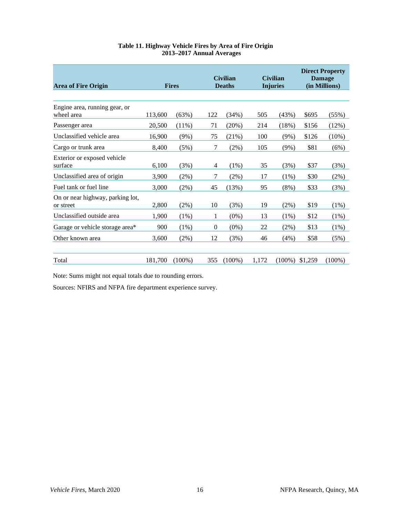<span id="page-16-0"></span>

| <b>Area of Fire Origin</b>                    | <b>Fires</b> |           |          | <b>Civilian</b><br><b>Deaths</b> |       | <b>Civilian</b><br><b>Injuries</b> | <b>Direct Property</b><br><b>Damage</b><br>(in Millions) |           |
|-----------------------------------------------|--------------|-----------|----------|----------------------------------|-------|------------------------------------|----------------------------------------------------------|-----------|
|                                               |              |           |          |                                  |       |                                    |                                                          |           |
| Engine area, running gear, or<br>wheel area   | 113,600      | (63%)     | 122      | (34%)                            | 505   | (43%)                              | \$695                                                    | (55%)     |
| Passenger area                                | 20,500       | (11%)     | 71       | (20%)                            | 214   | (18%)                              | \$156                                                    | (12%)     |
| Unclassified vehicle area                     | 16,900       | (9%)      | 75       | (21%)                            | 100   | $(9\%)$                            | \$126                                                    | $(10\%)$  |
| Cargo or trunk area                           | 8,400        | (5%)      | 7        | (2%)                             | 105   | $(9\%)$                            | \$81                                                     | (6%)      |
| Exterior or exposed vehicle<br>surface        | 6,100        | (3%)      | 4        | $(1\%)$                          | 35    | (3%)                               | \$37                                                     | (3%)      |
| Unclassified area of origin                   | 3,900        | $(2\%)$   | 7        | (2%)                             | 17    | $(1\%)$                            | \$30                                                     | (2%)      |
| Fuel tank or fuel line                        | 3,000        | (2%)      | 45       | (13%)                            | 95    | (8%)                               | \$33                                                     | (3%)      |
| On or near highway, parking lot,<br>or street | 2,800        | $(2\%)$   | 10       | (3%)                             | 19    | $(2\%)$                            | \$19                                                     | (1%)      |
| Unclassified outside area                     | 1,900        | $(1\%)$   | 1        | $(0\%)$                          | 13    | $(1\%)$                            | \$12                                                     | (1%)      |
| Garage or vehicle storage area*               | 900          | $(1\%)$   | $\theta$ | $(0\%)$                          | 22    | (2%)                               | \$13                                                     | (1%)      |
| Other known area                              | 3,600        | $(2\%)$   | 12       | (3%)                             | 46    | (4%)                               | \$58                                                     | (5%)      |
| Total                                         | 181,700      | $(100\%)$ | 355      | $(100\%)$                        | 1.172 | $(100\%)$                          | \$1,259                                                  | $(100\%)$ |

#### **Table 11. Highway Vehicle Fires by Area of Fire Origin 2013–2017 Annual Averages**

Note: Sums might not equal totals due to rounding errors.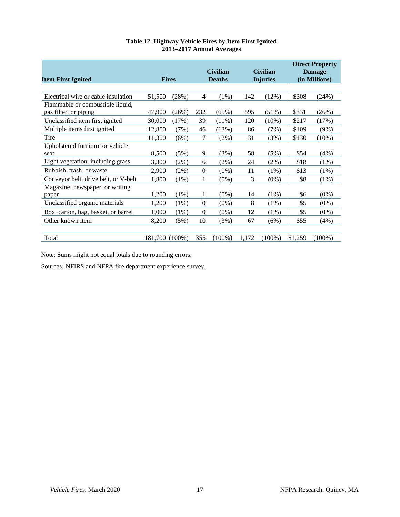| Table 12. Highway Vehicle Fires by Item First Ignited |
|-------------------------------------------------------|
| 2013–2017 Annual Averages                             |

<span id="page-17-0"></span>

|                                      |                |              |                |                 |       |                 | <b>Direct Property</b> |               |  |
|--------------------------------------|----------------|--------------|----------------|-----------------|-------|-----------------|------------------------|---------------|--|
|                                      |                |              |                | <b>Civilian</b> |       | <b>Civilian</b> |                        | <b>Damage</b> |  |
| <b>Item First Ignited</b>            |                | <b>Fires</b> |                | <b>Deaths</b>   |       | <b>Injuries</b> |                        | (in Millions) |  |
|                                      |                |              |                |                 |       |                 |                        |               |  |
| Electrical wire or cable insulation  | 51,500         | (28%)        | 4              | $(1\%)$         | 142   | (12%)           | \$308                  | (24%)         |  |
| Flammable or combustible liquid,     |                |              |                |                 |       |                 |                        |               |  |
| gas filter, or piping                | 47,900         | (26%)        | 232            | (65%)           | 595   | $(51\%)$        | \$331                  | (26%)         |  |
| Unclassified item first ignited      | 30,000         | (17%)        | 39             | $(11\%)$        | 120   | $(10\%)$        | \$217                  | (17%)         |  |
| Multiple items first ignited         | 12,800         | (7%)         | 46             | (13%)           | 86    | (7%)            | \$109                  | $(9\%)$       |  |
| Tire                                 | 11,300         | (6%)         | 7              | (2%)            | 31    | (3%)            | \$130                  | $(10\%)$      |  |
| Upholstered furniture or vehicle     |                |              |                |                 |       |                 |                        |               |  |
| seat                                 | 8,500          | (5%)         | 9              | (3%)            | 58    | (5%)            | \$54                   | (4%)          |  |
| Light vegetation, including grass    | 3,300          | (2%)         | 6              | (2%)            | 24    | (2%)            | \$18                   | $(1\%)$       |  |
| Rubbish, trash, or waste             | 2,900          | (2%)         | $\mathbf{0}$   | $(0\%)$         | 11    | (1%)            | \$13                   | $(1\%)$       |  |
| Conveyor belt, drive belt, or V-belt | 1,800          | (1%)         | 1              | $(0\%)$         | 3     | $(0\%)$         | \$8                    | $(1\%)$       |  |
| Magazine, newspaper, or writing      |                |              |                |                 |       |                 |                        |               |  |
| paper                                | 1,200          | $(1\%)$      | 1              | $(0\%)$         | 14    | (1%)            | \$6                    | $(0\%)$       |  |
| Unclassified organic materials       | 1,200          | (1%)         | $\overline{0}$ | $(0\%)$         | 8     | (1%)            | \$5                    | $(0\%)$       |  |
| Box, carton, bag, basket, or barrel  | 1,000          | $(1\%)$      | $\overline{0}$ | $(0\%)$         | 12    | $(1\%)$         | \$5                    | $(0\%)$       |  |
| Other known item                     | 8,200          | (5%)         | 10             | (3%)            | 67    | (6%)            | \$55                   | (4%)          |  |
|                                      |                |              |                |                 |       |                 |                        |               |  |
| Total                                | 181,700 (100%) |              | 355            | $(100\%)$       | 1,172 | $(100\%)$       | \$1,259                | $(100\%)$     |  |

Note: Sums might not equal totals due to rounding errors.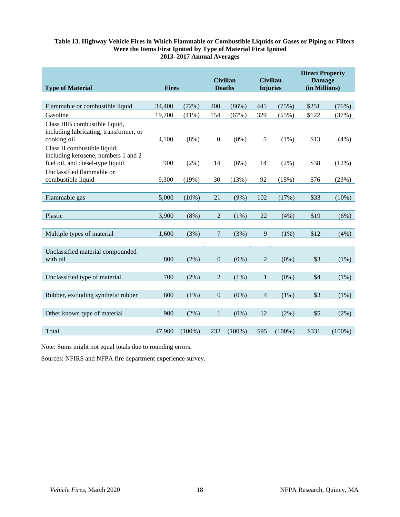#### <span id="page-18-0"></span>**Table 13. Highway Vehicle Fires in Which Flammable or Combustible Liquids or Gases or Piping or Filters Were the Items First Ignited by Type of Material First Ignited 2013–2017 Annual Averages**

| <b>Type of Material</b>                                                                                 | <b>Fires</b> |           | <b>Civilian</b><br><b>Deaths</b> |           | <b>Civilian</b><br><b>Injuries</b> |           | <b>Direct Property</b><br><b>Damage</b><br>(in Millions) |           |
|---------------------------------------------------------------------------------------------------------|--------------|-----------|----------------------------------|-----------|------------------------------------|-----------|----------------------------------------------------------|-----------|
|                                                                                                         |              |           |                                  |           |                                    |           |                                                          |           |
| Flammable or combustible liquid                                                                         | 34,400       | (72%)     | 200                              | (86%)     | 445                                | (75%)     | \$251                                                    | (76%)     |
| Gasoline                                                                                                | 19,700       | $(41\%)$  | 154                              | (67%)     | 329                                | (55%)     | \$122                                                    | (37%)     |
| Class IIIB combustible liquid,<br>including lubricating, transformer, or<br>cooking oil                 | 4,100        | $(8\%)$   | $\boldsymbol{0}$                 | $(0\%)$   | 5                                  | (1%)      | \$13                                                     | (4%)      |
| Class II combustible liquid,<br>including kerosene, numbers 1 and 2<br>fuel oil, and diesel-type liquid | 900          | $(2\%)$   | 14                               | (6%)      | 14                                 | $(2\%)$   | \$38                                                     | (12%)     |
| Unclassified flammable or<br>combustible liquid                                                         | 9,300        | (19%)     | 30                               | (13%)     | 92                                 | (15%)     | \$76                                                     | (23%)     |
| Flammable gas                                                                                           | 5,000        | (10%)     | 21                               | $(9\%)$   | 102                                | (17%)     | \$33                                                     | (10%)     |
| Plastic                                                                                                 | 3,900        | $(8\%)$   | $\overline{c}$                   | (1%)      | 22                                 | (4%)      | \$19                                                     | (6%)      |
| Multiple types of material                                                                              | 1,600        | (3%)      | 7                                | (3%)      | 9                                  | (1%)      | \$12                                                     | (4%)      |
| Unclassified material compounded<br>with oil                                                            | 800          | (2%)      | $\mathbf{0}$                     | $(0\%)$   | $\overline{c}$                     | $(0\%)$   | \$3                                                      | (1%)      |
| Unclassified type of material                                                                           | 700          | (2%)      | $\overline{2}$                   | (1%)      | $\mathbf{1}$                       | $(0\%)$   | \$4                                                      | (1%)      |
| Rubber, excluding synthetic rubber                                                                      | 600          | (1%)      | $\boldsymbol{0}$                 | $(0\%)$   | 4                                  | (1%)      | \$3                                                      | (1%)      |
| Other known type of material                                                                            | 900          | (2%)      | 1                                | $(0\%)$   | 12                                 | (2%)      | \$5                                                      | (2%)      |
| Total                                                                                                   | 47,900       | $(100\%)$ | 232                              | $(100\%)$ | 595                                | $(100\%)$ | \$331                                                    | $(100\%)$ |

Note: Sums might not equal totals due to rounding errors.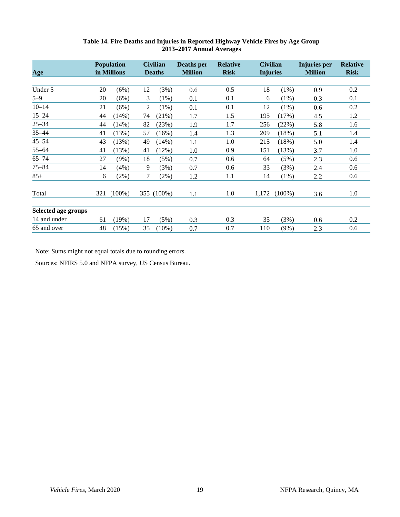<span id="page-19-0"></span>

|                     |     | <b>Population</b> |        | <b>Civilian</b> | Deaths per     | <b>Relative</b> | <b>Civilian</b> |           | <b>Injuries</b> per | <b>Relative</b> |
|---------------------|-----|-------------------|--------|-----------------|----------------|-----------------|-----------------|-----------|---------------------|-----------------|
| Age                 |     | in Millions       |        | <b>Deaths</b>   | <b>Million</b> | <b>Risk</b>     | <b>Injuries</b> |           | <b>Million</b>      | <b>Risk</b>     |
|                     |     |                   |        |                 |                |                 |                 |           |                     |                 |
| Under 5             | 20  | (6%)              | 12     | (3%)            | 0.6            | 0.5             | 18              | (1%)      | 0.9                 | 0.2             |
| $5 - 9$             | 20  | (6%)              | 3      | $(1\%)$         | 0.1            | 0.1             | 6               | (1%)      | 0.3                 | 0.1             |
| $10 - 14$           | 21  | (6%)              | 2      | $(1\%)$         | 0.1            | 0.1             | 12              | (1%)      | 0.6                 | 0.2             |
| $15 - 24$           | 44  | $14\%)$           | 74     | (21%)           | 1.7            | 1.5             | 195             | (17%)     | 4.5                 | 1.2             |
| $25 - 34$           | 44  | $(14\%)$          | 82     | (23%)           | 1.9            | 1.7             | 256             | (22%)     | 5.8                 | 1.6             |
| $35 - 44$           | 41  | (13%)             | 57     | (16%)           | 1.4            | 1.3             | 209             | (18%)     | 5.1                 | 1.4             |
| $45 - 54$           | 43  | (13%)             | 49     | (14%)           | 1.1            | 1.0             | 215             | (18%)     | 5.0                 | 1.4             |
| $55 - 64$           | 41  | (13%)             | 41     | (12%)           | 1.0            | 0.9             | 151             | (13%)     | 3.7                 | 1.0             |
| $65 - 74$           | 27  | $(9\%)$           | 18     | (5%)            | 0.7            | 0.6             | 64              | (5%)      | 2.3                 | 0.6             |
| $75 - 84$           | 14  | (4%)              | 9      | (3%)            | 0.7            | 0.6             | 33              | (3%)      | 2.4                 | 0.6             |
| $85+$               | 6   | (2%)              | $\tau$ | $(2\%)$         | 1.2            | 1.1             | 14              | $(1\%)$   | 2.2                 | 0.6             |
|                     |     |                   |        |                 |                |                 |                 |           |                     |                 |
| Total               | 321 | $100\%$ )         |        | 355 (100%)      | 1.1            | 1.0             | 1,172           | $(100\%)$ | 3.6                 | 1.0             |
| Selected age groups |     |                   |        |                 |                |                 |                 |           |                     |                 |
| 14 and under        | 61  | (19%)             | 17     | (5%)            | 0.3            | 0.3             | 35              | (3%)      | 0.6                 | 0.2             |
| 65 and over         | 48  | (15%)             | 35     | $(10\%)$        |                | 0.7             | 110             | $(9\%)$   |                     | 0.6             |
|                     |     |                   |        |                 | 0.7            |                 |                 |           | 2.3                 |                 |

# **Table 14. Fire Deaths and Injuries in Reported Highway Vehicle Fires by Age Group 2013–2017 Annual Averages**

Note: Sums might not equal totals due to rounding errors.

Sources: NFIRS 5.0 and NFPA survey, US Census Bureau.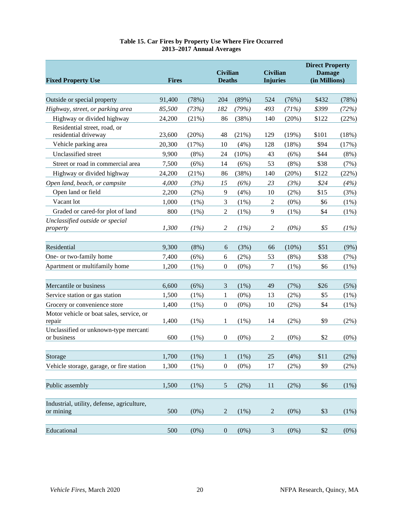| Table 15. Car Fires by Property Use Where Fire Occurred |  |
|---------------------------------------------------------|--|
| 2013–2017 Annual Averages                               |  |

<span id="page-20-0"></span>

| <b>Fixed Property Use</b>                               | <b>Fires</b> |         | <b>Civilian</b><br><b>Deaths</b> |         | <b>Civilian</b><br><b>Injuries</b> |         | <b>Direct Property</b><br><b>Damage</b><br>(in Millions) |         |
|---------------------------------------------------------|--------------|---------|----------------------------------|---------|------------------------------------|---------|----------------------------------------------------------|---------|
|                                                         |              |         |                                  |         |                                    |         |                                                          |         |
| Outside or special property                             | 91,400       | (78%)   | 204                              | (89%)   | 524                                | (76%)   | \$432                                                    | (78%)   |
| Highway, street, or parking area                        | 85,500       | (73%)   | 182                              | (79%)   | 493                                | (71%)   | \$399                                                    | (72%)   |
| Highway or divided highway                              | 24,200       | (21%)   | 86                               | (38%)   | 140                                | (20%)   | \$122                                                    | (22%)   |
| Residential street, road, or<br>residential driveway    | 23,600       | (20%)   | 48                               | (21%)   | 129                                | (19%)   | \$101                                                    | (18%)   |
| Vehicle parking area                                    | 20,300       | (17%)   | 10                               | (4%)    | 128                                | (18%)   | \$94                                                     | (17%)   |
| Unclassified street                                     | 9,900        | $(8\%)$ | 24                               | (10%)   | 43                                 | (6%)    | \$44                                                     | (8%)    |
| Street or road in commercial area                       | 7,500        | (6%)    | 14                               | (6%)    | 53                                 | (8%)    | \$38                                                     | (7%)    |
| Highway or divided highway                              | 24,200       | (21%)   | 86                               | (38%)   | 140                                | (20%)   | \$122                                                    | (22%)   |
| Open land, beach, or campsite                           | 4,000        | (3%)    | 15                               | (6%)    | 23                                 | (3%)    | \$24                                                     | (4%)    |
| Open land or field                                      | 2,200        | $(2\%)$ | 9                                | (4%)    | 10                                 | (2%)    | \$15                                                     | (3%)    |
| Vacant lot                                              | 1,000        | $(1\%)$ | 3                                | $(1\%)$ | $\boldsymbol{2}$                   | $(0\%)$ | \$6                                                      | (1%)    |
| Graded or cared-for plot of land                        | 800          | $(1\%)$ | $\overline{2}$                   | $(1\%)$ | 9                                  | $(1\%)$ | \$4                                                      | $(1\%)$ |
| Unclassified outside or special<br>property             | 1,300        | (1%)    | $\overline{2}$                   | (1%)    | $\overline{2}$                     | (0%)    | \$5                                                      | (1%)    |
| Residential                                             | 9,300        | (8%)    | 6                                | (3%)    | 66                                 | (10%)   | \$51                                                     | (9%)    |
| One- or two-family home                                 | 7,400        | (6%)    | 6                                | $(2\%)$ | 53                                 | (8%)    | \$38                                                     | (7%)    |
| Apartment or multifamily home                           | 1,200        | $(1\%)$ | $\Omega$                         | $(0\%)$ | $\tau$                             | (1%)    | \$6                                                      | $(1\%)$ |
| Mercantile or business                                  | 6,600        | (6%)    | 3                                | (1%)    | 49                                 | (7%)    | \$26                                                     | (5%)    |
| Service station or gas station                          | 1,500        | $(1\%)$ | 1                                | $(0\%)$ | 13                                 | (2%)    | \$5                                                      | (1%)    |
| Grocery or convenience store                            | 1,400        | $(1\%)$ | $\overline{0}$                   | $(0\%)$ | 10                                 | (2%)    | \$4                                                      | (1%)    |
| Motor vehicle or boat sales, service, or<br>repair      | 1,400        | $(1\%)$ | 1                                | $(1\%)$ | 14                                 | (2%)    | \$9                                                      | (2%)    |
| Unclassified or unknown-type mercant<br>or business     | 600          | $(1\%)$ | $\overline{0}$                   | $(0\%)$ | $\overline{2}$                     | $(0\%)$ | \$2                                                      | $(0\%)$ |
| Storage                                                 | 1,700        | $(1\%)$ | $\mathbf{1}$                     | (1%)    | 25                                 | (4%)    | \$11                                                     | (2%)    |
| Vehicle storage, garage, or fire station                | 1,300        | (1%)    | $\boldsymbol{0}$                 | $(0\%)$ | 17                                 | (2%)    | \$9                                                      | $(2\%)$ |
| Public assembly                                         | 1,500        | $(1\%)$ | $\sqrt{5}$                       | (2%)    | 11                                 | (2%)    | \$6                                                      | (1%)    |
| Industrial, utility, defense, agriculture,<br>or mining | 500          | $(0\%)$ | $\mathbf{2}$                     | (1%)    | $\sqrt{2}$                         | $(0\%)$ | \$3                                                      | (1%)    |
| Educational                                             | 500          | $(0\%)$ | $\boldsymbol{0}$                 | (0%)    | $\mathfrak{Z}$                     | $(0\%)$ | \$2                                                      | $(0\%)$ |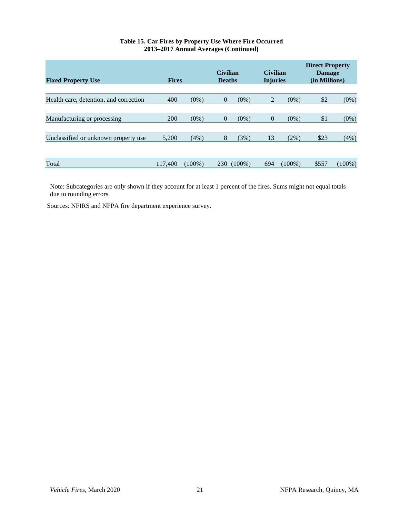# **Table 15. Car Fires by Property Use Where Fire Occurred 2013–2017 Annual Averages (Continued)**

| <b>Fixed Property Use</b>              | <b>Fires</b> |           | <b>Civilian</b><br><b>Deaths</b> |           | <b>Civilian</b><br><b>Injuries</b> |           | <b>Direct Property</b><br><b>Damage</b><br>(in Millions) |           |
|----------------------------------------|--------------|-----------|----------------------------------|-----------|------------------------------------|-----------|----------------------------------------------------------|-----------|
| Health care, detention, and correction | 400          | $(0\%)$   | $\theta$                         | $(0\%)$   | 2                                  | $(0\%)$   | \$2                                                      | $(0\%)$   |
| Manufacturing or processing            | 200          | $(0\%)$   | $\Omega$                         | $(0\%)$   | $\mathbf{0}$                       | $(0\%)$   | \$1                                                      | $(0\%)$   |
| Unclassified or unknown property use   | 5.200        | $(4\%)$   | 8                                | (3%)      | 13                                 | $(2\%)$   | \$23                                                     | (4%)      |
| Total                                  | 117,400      | $(100\%)$ | 230                              | $(100\%)$ | 694                                | $(100\%)$ | \$557                                                    | $(100\%)$ |

Note: Subcategories are only shown if they account for at least 1 percent of the fires. Sums might not equal totals due to rounding errors.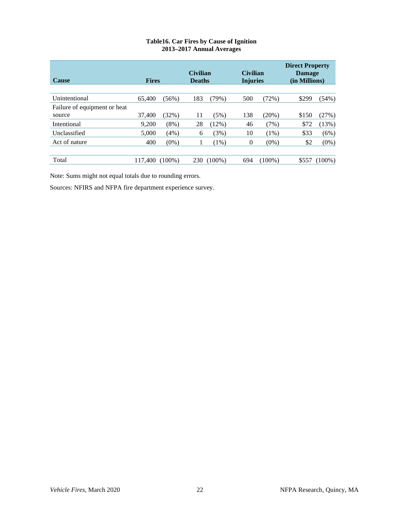#### **Table16. Car Fires by Cause of Ignition 2013–2017 Annual Averages**

<span id="page-22-0"></span>

| <b>Cause</b>                 | <b>Fires</b> |           | <b>Civilian</b><br><b>Deaths</b> |           | <b>Civilian</b><br><b>Injuries</b> |           | <b>Direct Property</b><br><b>Damage</b><br>(in Millions) |           |
|------------------------------|--------------|-----------|----------------------------------|-----------|------------------------------------|-----------|----------------------------------------------------------|-----------|
| Unintentional                | 65,400       | (56%)     | 183                              | (79%)     | 500                                | (72%)     | \$299                                                    | (54%)     |
| Failure of equipment or heat |              |           |                                  |           |                                    |           |                                                          |           |
| source                       | 37,400       | (32%)     | 11                               | (5%)      | 138                                | (20%)     | \$150                                                    | (27%)     |
| Intentional                  | 9,200        | $(8\%)$   | 28                               | (12%)     | 46                                 | (7%)      | \$72                                                     | (13%)     |
| Unclassified                 | 5,000        | $(4\%)$   | 6                                | (3%)      | 10                                 | $(1\%)$   | \$33                                                     | (6%)      |
| Act of nature                | 400          | $(0\%)$   |                                  | $(1\%)$   | $\theta$                           | $(0\%)$   | \$2                                                      | $(0\%)$   |
|                              |              |           |                                  |           |                                    |           |                                                          |           |
| Total                        | 117.400      | $(100\%)$ | 230                              | $(100\%)$ | 694                                | $(100\%)$ | \$557                                                    | $(100\%)$ |

Note: Sums might not equal totals due to rounding errors.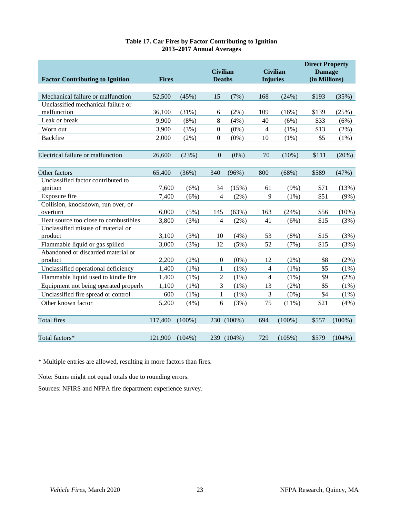#### **Table 17. Car Fires by Factor Contributing to Ignition 2013–2017 Annual Averages**

<span id="page-23-0"></span>

| <b>Factor Contributing to Ignition</b> | <b>Fires</b> |           | <b>Civilian</b><br><b>Deaths</b> |            | <b>Civilian</b><br><b>Injuries</b> |           | <b>Direct Property</b><br><b>Damage</b><br>(in Millions) |           |
|----------------------------------------|--------------|-----------|----------------------------------|------------|------------------------------------|-----------|----------------------------------------------------------|-----------|
| Mechanical failure or malfunction      | 52,500       | (45%)     | 15                               | (7%)       | 168                                | (24%)     | \$193                                                    | (35%)     |
| Unclassified mechanical failure or     |              |           |                                  |            |                                    |           |                                                          |           |
| malfunction                            | 36,100       | (31%)     | 6                                | $(2\%)$    | 109                                | (16%)     | \$139                                                    | (25%)     |
| Leak or break                          | 9,900        | (8%)      | 8                                | (4%)       | 40                                 | (6%)      | \$33                                                     | (6%)      |
| Worn out                               | 3,900        | (3%)      | $\boldsymbol{0}$                 | $(0\%)$    | $\overline{4}$                     | $(1\%)$   | \$13                                                     | (2%)      |
| <b>Backfire</b>                        | 2,000        | $(2\%)$   | $\overline{0}$                   | $(0\%)$    | 10                                 | $(1\%)$   | \$5                                                      | $(1\%)$   |
| Electrical failure or malfunction      | 26,600       | (23%)     | $\boldsymbol{0}$                 | $(0\%)$    | 70                                 | (10%)     | \$111                                                    | (20%)     |
| Other factors                          | 65,400       | (36%)     | 340                              | (96%)      | 800                                | (68%)     | \$589                                                    | (47%)     |
| Unclassified factor contributed to     |              |           |                                  |            |                                    |           |                                                          |           |
| ignition                               | 7,600        | (6%)      | 34                               | (15%)      | 61                                 | $(9\%)$   | \$71                                                     | (13%)     |
| Exposure fire                          | 7,400        | (6%)      | 4                                | $(2\%)$    | 9                                  | (1%)      | \$51                                                     | (9%)      |
| Collision, knockdown, run over, or     |              |           |                                  |            |                                    |           |                                                          |           |
| overturn                               | 6,000        | (5%)      | 145                              | (63%)      | 163                                | (24%)     | \$56                                                     | (10%)     |
| Heat source too close to combustibles  | 3,800        | (3%)      | $\overline{4}$                   | $(2\%)$    | 41                                 | (6%)      | \$15                                                     | (3%)      |
| Unclassified misuse of material or     |              |           |                                  |            |                                    |           |                                                          |           |
| product                                | 3,100        | (3%)      | 10                               | (4%)       | 53                                 | $(8\%)$   | \$15                                                     | (3%)      |
| Flammable liquid or gas spilled        | 3,000        | (3%)      | 12                               | (5%)       | 52                                 | (7%)      | \$15                                                     | (3%)      |
| Abandoned or discarded material or     |              |           |                                  |            |                                    |           |                                                          |           |
| product                                | 2,200        | $(2\%)$   | $\boldsymbol{0}$                 | $(0\%)$    | 12                                 | (2%)      | \$8                                                      | $(2\%)$   |
| Unclassified operational deficiency    | 1,400        | $(1\%)$   | 1                                | $(1\%)$    | 4                                  | $(1\%)$   | \$5                                                      | (1%)      |
| Flammable liquid used to kindle fire   | 1,400        | $(1\%)$   | $\overline{c}$                   | $(1\%)$    | 4                                  | $(1\%)$   | \$9                                                      | $(2\%)$   |
| Equipment not being operated properly  | 1,100        | $(1\%)$   | 3                                | $(1\%)$    | 13                                 | (2%)      | \$5                                                      | (1%)      |
| Unclassified fire spread or control    | 600          | $(1\%)$   | 1                                | $(1\%)$    | 3                                  | $(0\%)$   | \$4                                                      | $(1\%)$   |
| Other known factor                     | 5,200        | (4%)      | 6                                | (3%)       | 75                                 | (11%)     | \$21                                                     | (4%)      |
| <b>Total fires</b>                     | 117,400      | $(100\%)$ |                                  | 230 (100%) | 694                                | $(100\%)$ | \$557                                                    | $(100\%)$ |
| Total factors*                         | 121,900      | $(104\%)$ |                                  | 239 (104%) | 729                                | (105%)    | \$579                                                    | $(104\%)$ |

\* Multiple entries are allowed, resulting in more factors than fires.

Note: Sums might not equal totals due to rounding errors.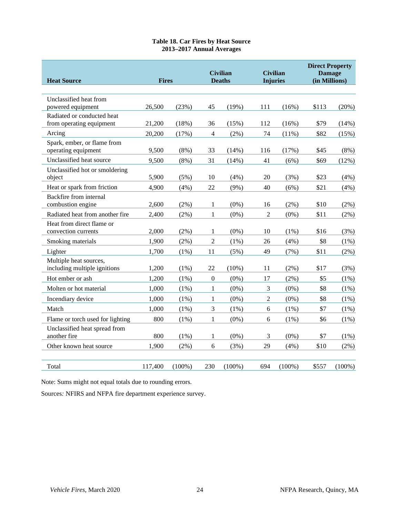## **Table 18. Car Fires by Heat Source 2013–2017 Annual Averages**

<span id="page-24-0"></span>

| <b>Heat Source</b>                                     | <b>Fires</b> |           | <b>Civilian</b><br><b>Deaths</b> |           | <b>Civilian</b><br><b>Injuries</b> |           | <b>Direct Property</b><br><b>Damage</b><br>(in Millions) |           |
|--------------------------------------------------------|--------------|-----------|----------------------------------|-----------|------------------------------------|-----------|----------------------------------------------------------|-----------|
|                                                        |              |           |                                  |           |                                    |           |                                                          |           |
| Unclassified heat from<br>powered equipment            | 26,500       | (23%)     | 45                               | (19%)     | 111                                | (16%)     | \$113                                                    | (20%)     |
| Radiated or conducted heat<br>from operating equipment | 21,200       | (18%)     | 36                               | (15%)     | 112                                | (16%)     | \$79                                                     | (14%)     |
| Arcing                                                 | 20,200       | (17%)     | $\overline{4}$                   | $(2\%)$   | 74                                 | (11%)     | \$82                                                     | (15%)     |
| Spark, ember, or flame from<br>operating equipment     | 9,500        | $(8\%)$   | 33                               | (14%)     | 116                                | (17%)     | \$45                                                     | $(8\%)$   |
| Unclassified heat source                               | 9,500        | $(8\%)$   | 31                               | (14%)     | 41                                 | (6%)      | \$69                                                     | (12%)     |
| Unclassified hot or smoldering<br>object               | 5,900        | (5%)      | 10                               | (4%)      | 20                                 | (3%)      | \$23                                                     | (4%)      |
| Heat or spark from friction                            | 4,900        | (4%)      | 22                               | $(9\%)$   | 40                                 | (6%)      | \$21                                                     | (4%)      |
| Backfire from internal<br>combustion engine            | 2,600        | $(2\%)$   | 1                                | $(0\%)$   | 16                                 | $(2\%)$   | \$10                                                     | (2%)      |
| Radiated heat from another fire                        | 2,400        | $(2\%)$   | $\mathbf{1}$                     | $(0\%)$   | $\overline{2}$                     | $(0\%)$   | \$11                                                     | $(2\%)$   |
| Heat from direct flame or<br>convection currents       | 2,000        | $(2\%)$   | 1                                | $(0\%)$   | 10                                 | (1%)      | \$16                                                     | (3%)      |
| Smoking materials                                      | 1,900        | $(2\%)$   | $\overline{2}$                   | (1%)      | 26                                 | (4%)      | \$8                                                      | (1%)      |
| Lighter                                                | 1,700        | (1%)      | 11                               | (5%)      | 49                                 | (7%)      | \$11                                                     | $(2\%)$   |
| Multiple heat sources,<br>including multiple ignitions | 1,200        | $(1\%)$   | 22                               | (10%)     | 11                                 | $(2\%)$   | \$17                                                     | (3%)      |
| Hot ember or ash                                       | 1,200        | $(1\%)$   | $\mathbf{0}$                     | $(0\%)$   | 17                                 | $(2\%)$   | \$5                                                      | (1%)      |
| Molten or hot material                                 | 1,000        | $(1\%)$   | $\mathbf{1}$                     | $(0\%)$   | 3                                  | $(0\%)$   | \$8                                                      | $(1\%)$   |
| Incendiary device                                      | 1,000        | $(1\%)$   | $\mathbf{1}$                     | $(0\%)$   | $\sqrt{2}$                         | $(0\%)$   | \$8                                                      | (1%)      |
| Match                                                  | 1,000        | $(1\%)$   | 3                                | (1%)      | 6                                  | $(1\%)$   | \$7                                                      | $(1\%)$   |
| Flame or torch used for lighting                       | 800          | $(1\%)$   | $\mathbf{1}$                     | $(0\%)$   | 6                                  | (1%)      | \$6                                                      | (1%)      |
| Unclassified heat spread from<br>another fire          | 800          | $(1\%)$   | 1                                | $(0\%)$   | $\mathfrak{Z}$                     | $(0\%)$   | \$7                                                      | (1%)      |
| Other known heat source                                | 1,900        | $(2\%)$   | 6                                | (3%)      | 29                                 | (4%)      | \$10                                                     | $(2\%)$   |
|                                                        |              |           |                                  |           |                                    |           |                                                          |           |
| Total                                                  | 117,400      | $(100\%)$ | 230                              | $(100\%)$ | 694                                | $(100\%)$ | \$557                                                    | $(100\%)$ |

Note: Sums might not equal totals due to rounding errors.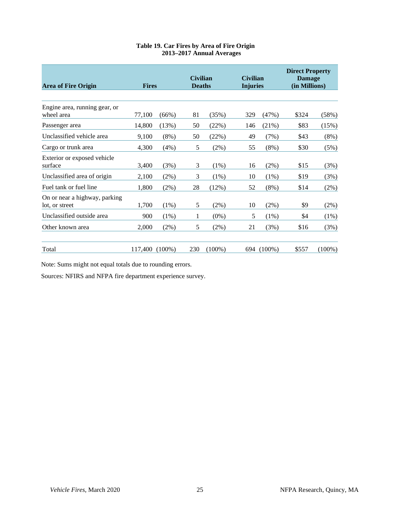<span id="page-25-0"></span>

| <b>Area of Fire Origin</b>                      | <b>Fires</b> |           | <b>Civilian</b><br><b>Deaths</b> |           | <b>Civilian</b><br><b>Injuries</b> |           | <b>Direct Property</b><br><b>Damage</b><br>(in Millions) |           |
|-------------------------------------------------|--------------|-----------|----------------------------------|-----------|------------------------------------|-----------|----------------------------------------------------------|-----------|
| Engine area, running gear, or<br>wheel area     | 77,100       | (66%)     | 81                               | (35%)     | 329                                | (47%)     | \$324                                                    | (58%)     |
| Passenger area                                  | 14,800       | (13%)     | 50                               | (22%)     | 146                                | (21%)     | \$83                                                     | (15%)     |
| Unclassified vehicle area                       | 9,100        | $(8\%)$   | 50                               | (22%)     | 49                                 | (7%)      | \$43                                                     | (8%)      |
| Cargo or trunk area                             | 4,300        | (4%)      | 5                                | (2%)      | 55                                 | $(8\%)$   | \$30                                                     | (5%)      |
| Exterior or exposed vehicle<br>surface          | 3,400        | (3%)      | 3                                | $(1\%)$   | 16                                 | $(2\%)$   | \$15                                                     | (3%)      |
| Unclassified area of origin                     | 2,100        | (2%)      | 3                                | $(1\%)$   | 10                                 | $(1\%)$   | \$19                                                     | (3%)      |
| Fuel tank or fuel line                          | 1,800        | (2%)      | 28                               | (12%)     | 52                                 | $(8\%)$   | \$14                                                     | (2%)      |
| On or near a highway, parking<br>lot, or street | 1,700        | $(1\%)$   | 5                                | (2%)      | 10                                 | (2%)      | \$9                                                      | (2%)      |
| Unclassified outside area                       | 900          | $(1\%)$   | 1                                | $(0\%)$   | 5                                  | $(1\%)$   | \$4                                                      | (1%)      |
| Other known area                                | 2,000        | (2%)      | 5                                | (2%)      | 21                                 | (3%)      | \$16                                                     | (3%)      |
| Total                                           | 117,400      | $(100\%)$ | 230                              | $(100\%)$ | 694                                | $(100\%)$ | \$557                                                    | $(100\%)$ |

#### **Table 19. Car Fires by Area of Fire Origin 2013–2017 Annual Averages**

Note: Sums might not equal totals due to rounding errors.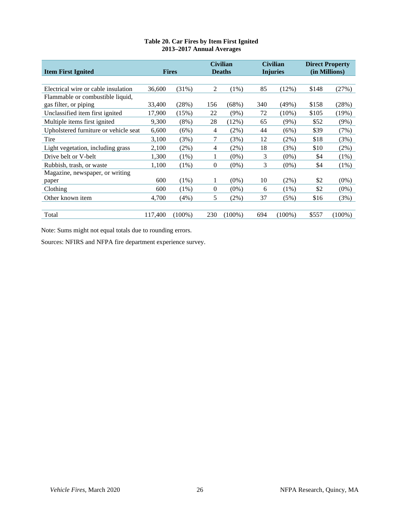#### **Table 20. Car Fires by Item First Ignited 2013–2017 Annual Averages**

<span id="page-26-0"></span>

| <b>Item First Ignited</b>             | <b>Fires</b> |           |                | <b>Civilian</b><br><b>Deaths</b> |     | <b>Civilian</b><br><b>Injuries</b> |       | <b>Direct Property</b><br>(in Millions) |
|---------------------------------------|--------------|-----------|----------------|----------------------------------|-----|------------------------------------|-------|-----------------------------------------|
|                                       |              |           |                |                                  |     |                                    |       |                                         |
| Electrical wire or cable insulation   | 36,600       | $(31\%)$  | 2              | $(1\%)$                          | 85  | (12%)                              | \$148 | (27%)                                   |
| Flammable or combustible liquid,      |              |           |                |                                  |     |                                    |       |                                         |
| gas filter, or piping                 | 33,400       | (28%)     | 156            | (68%)                            | 340 | (49%)                              | \$158 | (28%)                                   |
| Unclassified item first ignited       | 17,900       | (15%)     | 22             | $(9\%)$                          | 72  | $(10\%)$                           | \$105 | (19%)                                   |
| Multiple items first ignited          | 9,300        | $(8\%)$   | 28             | (12%)                            | 65  | $(9\%)$                            | \$52  | $(9\%)$                                 |
| Upholstered furniture or vehicle seat | 6,600        | (6%)      | 4              | (2%)                             | 44  | (6%)                               | \$39  | (7%)                                    |
| Tire                                  | 3,100        | (3%)      | 7              | (3%)                             | 12  | $(2\%)$                            | \$18  | (3%)                                    |
| Light vegetation, including grass     | 2,100        | (2%)      | 4              | $(2\%)$                          | 18  | (3%)                               | \$10  | (2%)                                    |
| Drive belt or V-belt                  | 1,300        | $(1\%)$   |                | $(0\%)$                          | 3   | $(0\%)$                            | \$4   | $(1\%)$                                 |
| Rubbish, trash, or waste              | 1,100        | $(1\%)$   | $\Omega$       | $(0\%)$                          | 3   | $(0\%)$                            | \$4   | $(1\%)$                                 |
| Magazine, newspaper, or writing       |              |           |                |                                  |     |                                    |       |                                         |
| paper                                 | 600          | $(1\%)$   | 1              | $(0\%)$                          | 10  | $(2\%)$                            | \$2   | $(0\%)$                                 |
| Clothing                              | 600          | (1%)      | $\overline{0}$ | $(0\%)$                          | 6   | (1%)                               | \$2   | $(0\%)$                                 |
| Other known item                      | 4,700        | $(4\%)$   | 5              | $(2\%)$                          | 37  | (5%)                               | \$16  | (3%)                                    |
| Total                                 | 117,400      | $(100\%)$ | 230            | $(100\%)$                        | 694 | $(100\%)$                          | \$557 | $(100\%)$                               |

Note: Sums might not equal totals due to rounding errors.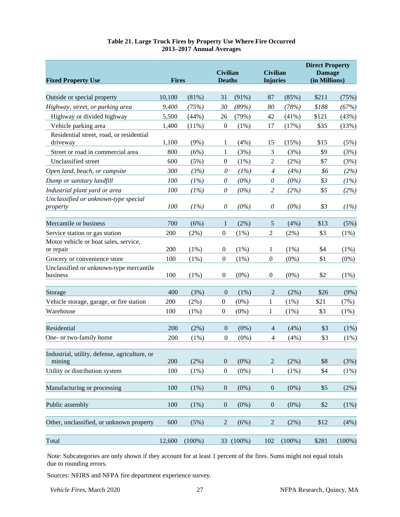# **Table 21. Large Truck Fires by Property Use Where Fire Occurred 2013–2017 Annual Averages**

<span id="page-27-0"></span>

| <b>Fixed Property Use</b>                               |        | <b>Fires</b> |                  | <b>Civilian</b><br><b>Deaths</b> | <b>Civilian</b><br><b>Injuries</b> |           | <b>Direct Property</b><br><b>Damage</b><br>(in Millions) |           |
|---------------------------------------------------------|--------|--------------|------------------|----------------------------------|------------------------------------|-----------|----------------------------------------------------------|-----------|
| Outside or special property                             | 10,100 | (81%)        | 31               | $(91\%)$                         | 87                                 | (85%)     | \$211                                                    | (75%)     |
| Highway, street, or parking area                        | 9,400  | (75%)        | 30               | (89%)                            | 80                                 | (78%)     | \$188                                                    | (67%)     |
| Highway or divided highway                              | 5,500  | (44%)        | 26               | (79%)                            | 42                                 | (41%)     | \$121                                                    | (43%)     |
| Vehicle parking area                                    | 1,400  | (11%)        | $\boldsymbol{0}$ | $(1\%)$                          | 17                                 | (17%)     | \$35                                                     | (13%)     |
| Residential street, road, or residential<br>driveway    | 1,100  | (9%)         | 1                | (4% )                            | 15                                 | (15%)     | \$15                                                     | (5%)      |
| Street or road in commercial area                       | 800    | (6%)         | 1                | (3%)                             | 3                                  | (3%)      | \$9                                                      | (3%)      |
| Unclassified street                                     | 600    | (5%)         | $\boldsymbol{0}$ | $(1\%)$                          | $\overline{c}$                     | (2%)      | \$7                                                      | (3%)      |
| Open land, beach, or campsite                           | 300    | (3%)         | 0                | (1%)                             | $\overline{4}$                     | (4%)      | \$6                                                      | (2%)      |
| Dump or sanitary landfill                               | 100    | (1%)         | $\theta$         | (0%)                             | $\mathcal O$                       | (0%)      | \$3                                                      | (1%)      |
| Industrial plant yard or area                           | 100    | (1%)         | 0                | (0%)                             | $\overline{2}$                     | (2%)      | \$5                                                      | (2%)      |
| Unclassified or unknown-type special<br>property        | 100    | (1%)         | 0                | $(0\%)$                          | $\theta$                           | $(0\%)$   | \$3                                                      | (1%)      |
| Mercantile or business                                  | 700    | (6%)         | 1                | $(2\%)$                          | $\mathfrak{S}$                     | (4%)      | \$13                                                     | (5%)      |
| Service station or gas station                          | 200    | $(2\%)$      | $\boldsymbol{0}$ | $(1\%)$                          | 2                                  | $(2\%)$   | \$3                                                      | (1%)      |
| Motor vehicle or boat sales, service,<br>or repair      | 200    | $(1\%)$      | $\boldsymbol{0}$ | (1%)                             | 1                                  | $(1\%)$   | \$4                                                      | (1%)      |
| Grocery or convenience store                            | 100    | (1%)         | $\boldsymbol{0}$ | (1%)                             | $\mathbf{0}$                       | $(0\%)$   | \$1                                                      | $(0\%)$   |
| Unclassified or unknown-type mercantile<br>business     | 100    | (1%)         | $\boldsymbol{0}$ | $(0\%)$                          | $\overline{0}$                     | $(0\%)$   | \$2                                                      | (1%)      |
| Storage                                                 | 400    | (3%)         | $\overline{0}$   | (1%)                             | 2                                  | (2%)      | \$26                                                     | (9%)      |
| Vehicle storage, garage, or fire station                | 200    | $(2\%)$      | $\boldsymbol{0}$ | $(0\%)$                          | 1                                  | $(1\%)$   | \$21                                                     | (7%)      |
| Warehouse                                               | 100    | $(1\%)$      | $\boldsymbol{0}$ | $(0\%)$                          | 1                                  | $(1\%)$   | \$3                                                      | (1%)      |
| Residential                                             | 200    | $(2\%)$      | $\boldsymbol{0}$ | $(0\%)$                          | $\overline{4}$                     | (4%)      | \$3                                                      | (1%)      |
| One- or two-family home                                 | 200    | (1%)         | $\overline{0}$   | $(0\%)$                          | 4                                  | (4%)      | \$3                                                      | (1%)      |
| Industrial, utility, defense, agriculture, or<br>mining | 200    | (2%)         | $\boldsymbol{0}$ | $(0\%)$                          | $\overline{2}$                     | (2%)      | \$8                                                      | (3%)      |
| Utility or distribution system                          | 100    | (1%)         | $\boldsymbol{0}$ | $(0\%)$                          | $\mathbf{1}$                       | (1%)      | \$4                                                      | $(1\%)$   |
| Manufacturing or processing                             | 100    | $(1\%)$      | $\boldsymbol{0}$ | $(0\%)$                          | $\boldsymbol{0}$                   | $(0\%)$   | \$5                                                      | $(2\%)$   |
| Public assembly                                         | 100    | $(1\%)$      | $\boldsymbol{0}$ | $(0\%)$                          | $\boldsymbol{0}$                   | (0%)      | \$2                                                      | (1%)      |
| Other, unclassified, or unknown property                | 600    | (5%)         | $\overline{c}$   | (6%)                             | $\sqrt{2}$                         | (2%)      | \$12                                                     | (4%)      |
| Total                                                   | 12,600 | $(100\%)$    |                  | 33 (100%)                        | 102                                | $(100\%)$ | \$281                                                    | $(100\%)$ |

Note: Subcategories are only shown if they account for at least 1 percent of the fires. Sums might not equal totals due to rounding errors.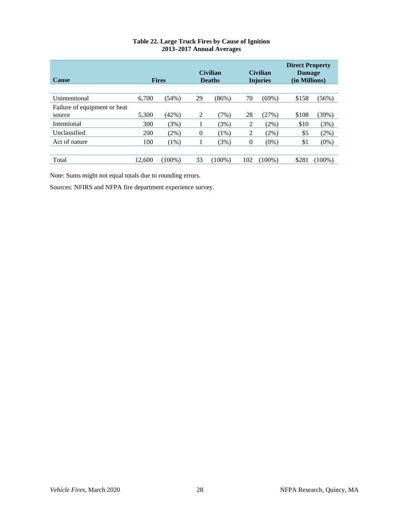<span id="page-28-0"></span>

| <b>Cause</b>                 |        | <b>Fires</b> | <b>Civilian</b><br><b>Deaths</b> |           | <b>Civilian</b><br><b>Injuries</b> |           | <b>Direct Property</b><br><b>Damage</b><br>(in Millions) |           |
|------------------------------|--------|--------------|----------------------------------|-----------|------------------------------------|-----------|----------------------------------------------------------|-----------|
|                              |        |              |                                  |           |                                    |           |                                                          |           |
| Unintentional                | 6.700  | $(54\%)$     | 29                               | $(86\%)$  | 70                                 | (69%)     | \$158                                                    | (56%)     |
| Failure of equipment or heat |        |              |                                  |           |                                    |           |                                                          |           |
| source                       | 5,300  | (42%)        | 2                                | (7%)      | 28                                 | (27%)     | \$108                                                    | (39%)     |
| Intentional                  | 300    | (3%)         | $\mathbf{I}$                     | (3%)      | 2                                  | (2%)      | \$10                                                     | (3%)      |
| Unclassified                 | 200    | (2%)         | 0                                | $(1\%)$   | 2                                  | (2%)      | \$5                                                      | $(2\%)$   |
| Act of nature                | 100    | $(1\%)$      | $\bf{r}$                         | (3%)      | 0                                  | $(0\%)$   | \$1                                                      | $(0\%)$   |
|                              |        |              |                                  |           |                                    |           |                                                          |           |
| Total                        | 12.600 | $(100\%)$    | 33                               | $(100\%)$ | 102                                | $(100\%)$ | \$281                                                    | $(100\%)$ |

#### **Table 22. Large Truck Fires by Cause of Ignition 2013–2017 Annual Averages**

Note: Sums might not equal totals due to rounding errors.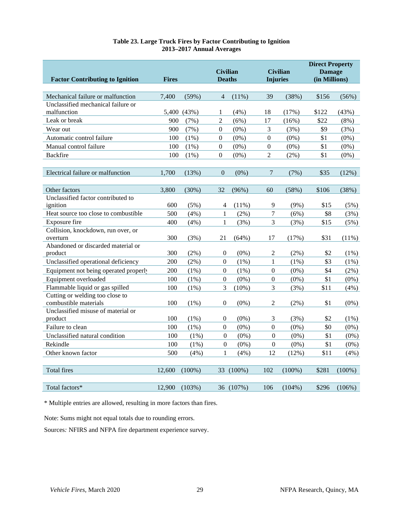## **Table 23. Large Truck Fires by Factor Contributing to Ignition 2013–2017 Annual Averages**

<span id="page-29-0"></span>

| <b>Factor Contributing to Ignition</b>                   | <b>Fires</b> |             | <b>Civilian</b><br><b>Deaths</b> |           | <b>Civilian</b><br><b>Injuries</b> |           | <b>Direct Property</b><br><b>Damage</b><br>(in Millions) |           |
|----------------------------------------------------------|--------------|-------------|----------------------------------|-----------|------------------------------------|-----------|----------------------------------------------------------|-----------|
|                                                          |              |             |                                  |           |                                    |           |                                                          |           |
| Mechanical failure or malfunction                        | 7,400        | (59%)       | $\overline{4}$                   | (11%)     | 39                                 | (38%)     | \$156                                                    | (56%)     |
| Unclassified mechanical failure or                       |              |             |                                  |           |                                    |           |                                                          |           |
| malfunction                                              |              | 5,400 (43%) | 1                                | (4%)      | 18                                 | (17%)     | \$122                                                    | (43%)     |
| Leak or break                                            | 900          | (7%)        | $\overline{2}$                   | (6%)      | 17                                 | (16%)     | \$22                                                     | (8%)      |
| Wear out                                                 | 900          | (7%)        | $\boldsymbol{0}$                 | $(0\%)$   | 3                                  | (3%)      | \$9                                                      | (3%)      |
| Automatic control failure                                | 100          | $(1\%)$     | $\boldsymbol{0}$                 | $(0\%)$   | $\boldsymbol{0}$                   | $(0\%)$   | \$1                                                      | $(0\%)$   |
| Manual control failure                                   | 100          | (1%)        | $\mathbf{0}$                     | $(0\%)$   | $\boldsymbol{0}$                   | $(0\%)$   | \$1                                                      | $(0\%)$   |
| <b>Backfire</b>                                          | 100          | $(1\%)$     | $\Omega$                         | $(0\%)$   | $\overline{2}$                     | $(2\%)$   | \$1                                                      | $(0\%)$   |
| Electrical failure or malfunction                        | 1,700        | (13%)       | $\overline{0}$                   | $(0\%)$   | 7                                  | (7%)      | \$35                                                     | (12%)     |
| Other factors                                            | 3,800        | (30%)       | 32                               | (96%)     | 60                                 | (58%)     | \$106                                                    | (38%)     |
| Unclassified factor contributed to                       |              |             |                                  |           |                                    |           |                                                          |           |
| ignition                                                 | 600          | (5%)        | 4                                | (11%)     | 9                                  | (9%)      | \$15                                                     | (5%)      |
| Heat source too close to combustible                     | 500          | (4%)        | $\mathbf{1}$                     | $(2\%)$   | $\overline{7}$                     | (6%)      | \$8                                                      | (3%)      |
| Exposure fire                                            | 400          | (4% )       | $\mathbf{1}$                     | (3%)      | 3                                  | (3%)      | \$15                                                     | (5%)      |
| Collision, knockdown, run over, or                       |              |             |                                  |           |                                    |           |                                                          |           |
| overturn                                                 | 300          | (3%)        | 21                               | (64%)     | 17                                 | (17%)     | \$31                                                     | (11%)     |
| Abandoned or discarded material or                       |              |             |                                  |           |                                    |           |                                                          |           |
| product                                                  | 300          | $(2\%)$     | $\boldsymbol{0}$                 | $(0\%)$   | 2                                  | $(2\%)$   | \$2                                                      | $(1\%)$   |
| Unclassified operational deficiency                      | 200          | $(2\%)$     | $\boldsymbol{0}$                 | $(1\%)$   | $\mathbf{1}$                       | $(1\%)$   | \$3                                                      | $(1\%)$   |
| Equipment not being operated properly                    | 200          | $(1\%)$     | $\boldsymbol{0}$                 | $(1\%)$   | $\boldsymbol{0}$                   | $(0\%)$   | \$4                                                      | (2%)      |
| Equipment overloaded                                     | 100          | (1%)        | $\boldsymbol{0}$                 | $(0\%)$   | $\boldsymbol{0}$                   | $(0\%)$   | \$1                                                      | $(0\%)$   |
| Flammable liquid or gas spilled                          | 100          | (1%)        | 3                                | (10%)     | 3                                  | (3%)      | \$11                                                     | (4%)      |
| Cutting or welding too close to<br>combustible materials |              |             |                                  |           |                                    |           |                                                          |           |
| Unclassified misuse of material or                       | 100          | $(1\%)$     | $\Omega$                         | $(0\%)$   | $\overline{2}$                     | $(2\%)$   | \$1                                                      | $(0\%)$   |
| product                                                  | 100          | $(1\%)$     | $\boldsymbol{0}$                 | $(0\%)$   | 3                                  | (3%)      | \$2                                                      | $(1\%)$   |
| Failure to clean                                         | 100          | (1%)        | $\boldsymbol{0}$                 | $(0\%)$   | $\boldsymbol{0}$                   | $(0\%)$   | \$0                                                      | $(0\%)$   |
| Unclassified natural condition                           | 100          | (1%)        | $\boldsymbol{0}$                 | $(0\%)$   | $\boldsymbol{0}$                   | $(0\%)$   | \$1                                                      | $(0\%)$   |
| Rekindle                                                 | 100          | $(1\%)$     | $\boldsymbol{0}$                 | $(0\%)$   | $\boldsymbol{0}$                   | $(0\%)$   | \$1                                                      | $(0\%)$   |
| Other known factor                                       | 500          | (4%)        | 1                                | (4%)      | 12                                 | (12%)     | \$11                                                     | (4%)      |
|                                                          |              |             |                                  |           |                                    |           |                                                          |           |
| <b>Total fires</b>                                       | 12,600       | $(100\%)$   |                                  | 33 (100%) | 102                                | $(100\%)$ | \$281                                                    | $(100\%)$ |
| Total factors*                                           | 12,900       | (103%)      |                                  | 36 (107%) | 106                                | $(104\%)$ | \$296                                                    | (106%)    |

\* Multiple entries are allowed, resulting in more factors than fires.

Note: Sums might not equal totals due to rounding errors.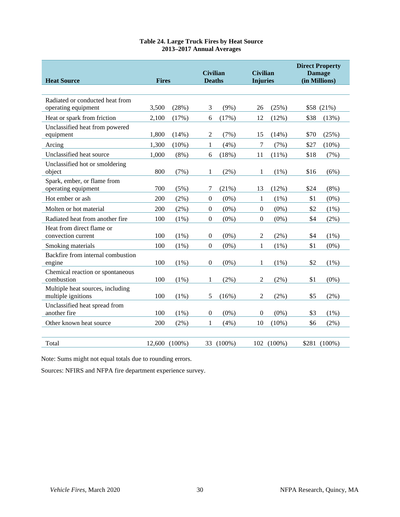#### **Table 24. Large Truck Fires by Heat Source 2013–2017 Annual Averages**

<span id="page-30-0"></span>

| <b>Heat Source</b>                                     | <b>Fires</b> |               | <b>Civilian</b><br><b>Deaths</b> |           | <b>Civilian</b><br><b>Injuries</b> |            | <b>Direct Property</b><br><b>Damage</b><br>(in Millions) |              |
|--------------------------------------------------------|--------------|---------------|----------------------------------|-----------|------------------------------------|------------|----------------------------------------------------------|--------------|
|                                                        |              |               |                                  |           |                                    |            |                                                          |              |
| Radiated or conducted heat from<br>operating equipment | 3,500        | (28%)         | 3                                | $(9\%)$   | 26                                 | (25%)      |                                                          | \$58 (21%)   |
| Heat or spark from friction                            | 2,100        | (17%)         | 6                                | (17%)     | 12                                 | (12%)      | \$38                                                     | (13%)        |
| Unclassified heat from powered<br>equipment            | 1,800        | (14%)         | 2                                | (7%)      | 15                                 | (14%)      | \$70                                                     | (25%)        |
| Arcing                                                 | 1,300        | (10%)         | 1                                | (4%)      | 7                                  | (7%)       | \$27                                                     | (10%)        |
| Unclassified heat source                               | 1,000        | $(8\%)$       | 6                                | (18%)     | 11                                 | (11%)      | \$18                                                     | (7%)         |
| Unclassified hot or smoldering<br>object               | 800          | (7%)          | 1                                | (2%)      | 1                                  | $(1\%)$    | \$16                                                     | (6%)         |
| Spark, ember, or flame from<br>operating equipment     | 700          | (5%)          | 7                                | (21%)     | 13                                 | (12%)      | \$24                                                     | $(8\%)$      |
| Hot ember or ash                                       | 200          | (2%)          | $\boldsymbol{0}$                 | $(0\%)$   | 1                                  | $(1\%)$    | \$1                                                      | $(0\%)$      |
| Molten or hot material                                 | 200          | $(2\%)$       | $\boldsymbol{0}$                 | $(0\%)$   | $\Omega$                           | $(0\%)$    | \$2                                                      | $(1\%)$      |
| Radiated heat from another fire                        | 100          | $(1\%)$       | $\boldsymbol{0}$                 | $(0\%)$   | $\boldsymbol{0}$                   | $(0\%)$    | \$4                                                      | $(2\%)$      |
| Heat from direct flame or<br>convection current        | 100          | $(1\%)$       | $\overline{0}$                   | $(0\%)$   | 2                                  | $(2\%)$    | \$4                                                      | (1%)         |
| Smoking materials                                      | 100          | $(1\%)$       | $\theta$                         | $(0\%)$   | 1                                  | $(1\%)$    | \$1                                                      | $(0\%)$      |
| Backfire from internal combustion<br>engine            | 100          | $(1\%)$       | $\theta$                         | $(0\%)$   | 1                                  | $(1\%)$    | \$2                                                      | $(1\%)$      |
| Chemical reaction or spontaneous<br>combustion         | 100          | $(1\%)$       | 1                                | (2%)      | $\overline{2}$                     | (2%)       | \$1                                                      | $(0\%)$      |
| Multiple heat sources, including<br>multiple ignitions | 100          | $(1\%)$       | 5                                | (16%)     | $\overline{2}$                     | $(2\%)$    | \$5                                                      | (2%)         |
| Unclassified heat spread from<br>another fire          | 100          | (1%)          | $\boldsymbol{0}$                 | $(0\%)$   | $\boldsymbol{0}$                   | $(0\%)$    | \$3                                                      | $(1\%)$      |
| Other known heat source                                | 200          | $(2\%)$       | 1                                | (4%)      | 10                                 | $(10\%)$   | \$6                                                      | $(2\%)$      |
|                                                        |              |               |                                  |           |                                    |            |                                                          |              |
| Total                                                  |              | 12,600 (100%) |                                  | 33 (100%) |                                    | 102 (100%) |                                                          | \$281 (100%) |

Note: Sums might not equal totals due to rounding errors.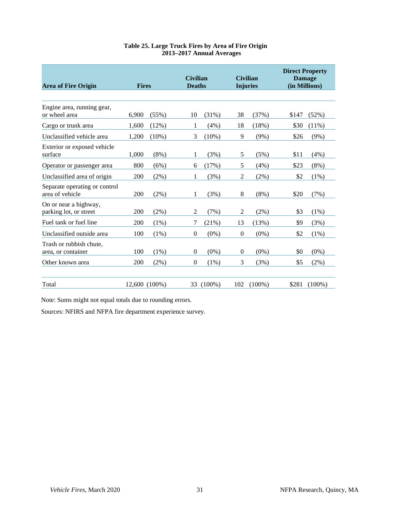<span id="page-31-0"></span>

| <b>Area of Fire Origin</b>                       | <b>Fires</b> |           |                | <b>Civilian</b><br><b>Deaths</b> |              | <b>Civilian</b><br><b>Injuries</b> | <b>Direct Property</b><br><b>Damage</b><br>(in Millions) |           |
|--------------------------------------------------|--------------|-----------|----------------|----------------------------------|--------------|------------------------------------|----------------------------------------------------------|-----------|
| Engine area, running gear,<br>or wheel area      | 6.900        | $(55\%)$  | 10             | $(31\%)$                         | 38           | (37%)                              | \$147                                                    | (52%)     |
| Cargo or trunk area                              | 1,600        | (12%)     |                | $(4\%)$                          | 18           | (18%)                              | \$30                                                     | $(11\%)$  |
| Unclassified vehicle area                        | 1,200        | $(10\%)$  | 3              | $(10\%)$                         | 9            | $(9\%)$                            | \$26                                                     | $(9\%)$   |
| Exterior or exposed vehicle<br>surface           | 1.000        | $(8\%)$   | 1              | (3%)                             | 5            | (5%)                               | \$11                                                     | (4%)      |
| Operator or passenger area                       | 800          | (6%)      | 6              | (17%)                            | 5            | (4%)                               | \$23                                                     | (8%)      |
| Unclassified area of origin                      | 200          | (2%)      | 1              | (3%)                             | 2            | (2%)                               | \$2                                                      | (1%)      |
| Separate operating or control<br>area of vehicle | 200          | $(2\%)$   | 1              | (3%)                             | 8            | (8%)                               | \$20                                                     | (7%)      |
| On or near a highway,<br>parking lot, or street  | 200          | $(2\%)$   | 2              | (7%)                             | 2            | $(2\%)$                            | \$3                                                      | (1%)      |
| Fuel tank or fuel line                           | 200          | $(1\%)$   | 7              | (21%)                            | 13           | (13%)                              | \$9                                                      | (3%)      |
| Unclassified outside area                        | 100          | $(1\%)$   | $\Omega$       | $(0\%)$                          | $\mathbf{0}$ | $(0\%)$                            | \$2                                                      | $(1\%)$   |
| Trash or rubbish chute,<br>area, or container    | 100          | $(1\%)$   | $\Omega$       | $(0\%)$                          | $\Omega$     | $(0\%)$                            | \$0                                                      | $(0\%)$   |
| Other known area                                 | 200          | (2%)      | $\overline{0}$ | $(1\%)$                          | 3            | (3%)                               | \$5                                                      | (2%)      |
| Total                                            | 12,600       | $(100\%)$ | 33             | $(100\%)$                        | 102          | $(100\%)$                          | \$281                                                    | $(100\%)$ |

#### **Table 25. Large Truck Fires by Area of Fire Origin 2013–2017 Annual Averages**

Note: Sums might not equal totals due to rounding errors.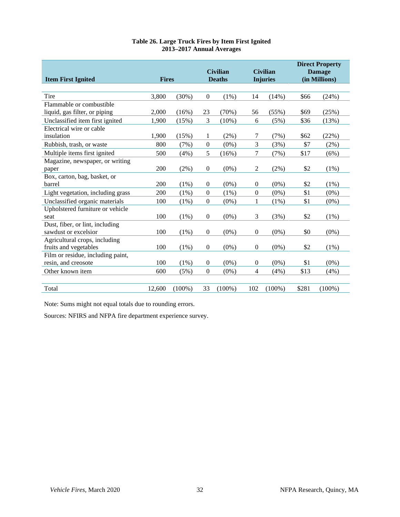## **Table 26. Large Truck Fires by Item First Ignited 2013–2017 Annual Averages**

<span id="page-32-0"></span>

| <b>Item First Ignited</b>         | <b>Fires</b> |           |                  | <b>Civilian</b><br><b>Deaths</b> |                  | <b>Civilian</b><br><b>Injuries</b> |       | <b>Direct Property</b><br><b>Damage</b><br>(in Millions) |
|-----------------------------------|--------------|-----------|------------------|----------------------------------|------------------|------------------------------------|-------|----------------------------------------------------------|
|                                   |              |           |                  |                                  |                  |                                    |       |                                                          |
| Tire                              | 3,800        | (30%)     | $\boldsymbol{0}$ | $(1\%)$                          | 14               | (14%)                              | \$66  | (24%)                                                    |
| Flammable or combustible          |              |           |                  |                                  |                  |                                    |       |                                                          |
| liquid, gas filter, or piping     | 2,000        | (16%)     | 23               | (70%)                            | 56               | (55%)                              | \$69  | (25%)                                                    |
| Unclassified item first ignited   | 1,900        | (15%)     | 3                | $(10\%)$                         | 6                | (5%)                               | \$36  | (13%)                                                    |
| Electrical wire or cable          |              |           |                  |                                  |                  |                                    |       |                                                          |
| insulation                        | 1,900        | (15%)     | 1                | $(2\%)$                          | 7                | (7%)                               | \$62  | (22%)                                                    |
| Rubbish, trash, or waste          | 800          | (7%)      | $\boldsymbol{0}$ | $(0\%)$                          | 3                | (3%)                               | \$7   | (2%)                                                     |
| Multiple items first ignited      | 500          | (4%)      | 5                | (16%)                            | 7                | (7%)                               | \$17  | (6%)                                                     |
| Magazine, newspaper, or writing   |              |           |                  |                                  |                  |                                    |       |                                                          |
| paper                             | 200          | $(2\%)$   | $\boldsymbol{0}$ | $(0\%)$                          | $\overline{2}$   | $(2\%)$                            | \$2   | (1%)                                                     |
| Box, carton, bag, basket, or      |              |           |                  |                                  |                  |                                    |       |                                                          |
| barrel                            | 200          | (1%)      | $\overline{0}$   | $(0\%)$                          | $\theta$         | $(0\%)$                            | \$2   | (1%)                                                     |
| Light vegetation, including grass | 200          | (1%)      | $\mathbf{0}$     | $(1\%)$                          | $\boldsymbol{0}$ | $(0\%)$                            | \$1   | $(0\%)$                                                  |
| Unclassified organic materials    | 100          | (1%)      | $\boldsymbol{0}$ | $(0\%)$                          | $\mathbf{1}$     | $(1\%)$                            | \$1   | $(0\%)$                                                  |
| Upholstered furniture or vehicle  |              |           |                  |                                  |                  |                                    |       |                                                          |
| seat                              | 100          | (1%)      | $\boldsymbol{0}$ | $(0\%)$                          | 3                | (3%)                               | \$2   | (1%)                                                     |
| Dust, fiber, or lint, including   |              |           |                  |                                  |                  |                                    |       |                                                          |
| sawdust or excelsior              | 100          | (1%)      | $\boldsymbol{0}$ | $(0\%)$                          | $\mathbf{0}$     | $(0\%)$                            | \$0   | $(0\%)$                                                  |
| Agricultural crops, including     |              |           |                  |                                  |                  |                                    |       |                                                          |
| fruits and vegetables             | 100          | (1%)      | $\boldsymbol{0}$ | $(0\%)$                          | $\boldsymbol{0}$ | $(0\%)$                            | \$2   | $(1\%)$                                                  |
| Film or residue, including paint, |              |           |                  |                                  |                  |                                    |       |                                                          |
| resin, and creosote               | 100          | (1%)      | $\boldsymbol{0}$ | $(0\%)$                          | $\boldsymbol{0}$ | $(0\%)$                            | \$1   | $(0\%)$                                                  |
| Other known item                  | 600          | (5%)      | $\boldsymbol{0}$ | $(0\%)$                          | $\overline{4}$   | (4%)                               | \$13  | (4%)                                                     |
|                                   |              |           |                  |                                  |                  |                                    |       |                                                          |
| Total                             | 12,600       | $(100\%)$ | 33               | $(100\%)$                        | 102              | $(100\%)$                          | \$281 | $(100\%)$                                                |
|                                   |              |           |                  |                                  |                  |                                    |       |                                                          |

Note: Sums might not equal totals due to rounding errors.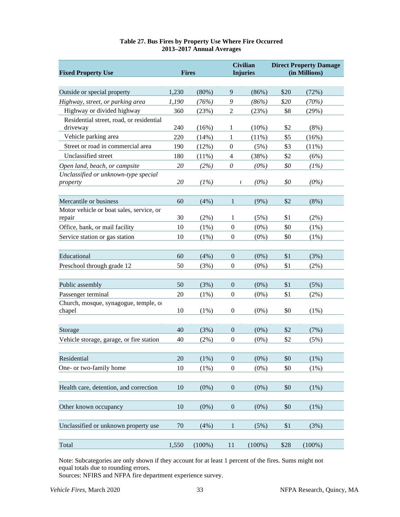<span id="page-33-0"></span>

|                                          | <b>Fires</b> |           |                  | <b>Civilian</b> | <b>Direct Property Damage</b><br>(in Millions) |           |
|------------------------------------------|--------------|-----------|------------------|-----------------|------------------------------------------------|-----------|
| <b>Fixed Property Use</b>                |              |           | <b>Injuries</b>  |                 |                                                |           |
| Outside or special property              | 1,230        | (80%)     | 9                | (86%)           | \$20                                           | (72%)     |
| Highway, street, or parking area         | 1,190        | (76%)     | 9                | (86%)           | \$20                                           | (70%)     |
| Highway or divided highway               | 360          | (23%)     | $\overline{2}$   | (23%)           | \$8                                            | (29%)     |
| Residential street, road, or residential |              |           |                  |                 |                                                |           |
| driveway                                 | 240          | (16%)     | 1                | (10%)           | \$2                                            | (8%)      |
| Vehicle parking area                     | 220          | (14%)     | 1                | (11%)           | \$5                                            | (16%)     |
| Street or road in commercial area        | 190          | (12%)     | $\boldsymbol{0}$ | (5%)            | \$3                                            | (11%)     |
| Unclassified street                      | 180          | $(11\%)$  | $\overline{4}$   | (38%)           | \$2                                            | (6%)      |
| Open land, beach, or campsite            | 20           | (2%)      | $\theta$         | (0%)            | \$0                                            | (1%)      |
| Unclassified or unknown-type special     |              |           |                  |                 |                                                |           |
| property                                 | 20           | (1%)      | $\mathbf{I}$     | $(0\%)$         | \$0                                            | (0%)      |
| Mercantile or business                   | 60           | (4%)      | $\mathbf{1}$     | (9%)            | \$2                                            | (8%)      |
| Motor vehicle or boat sales, service, or |              |           |                  |                 |                                                |           |
| repair                                   | 30           | (2%)      | 1                | (5%)            | \$1                                            | (2%)      |
| Office, bank, or mail facility           | 10           | $(1\%)$   | $\boldsymbol{0}$ | $(0\%)$         | \$0                                            | $(1\%)$   |
| Service station or gas station           | 10           | $(1\%)$   | $\mathbf{0}$     | $(0\%)$         | \$0                                            | $(1\%)$   |
|                                          |              |           |                  |                 |                                                |           |
| Educational                              | 60           | (4%)      | $\mathbf{0}$     | $(0\%)$         | \$1                                            | (3%)      |
| Preschool through grade 12               | 50           | (3%)      | $\boldsymbol{0}$ | $(0\%)$         | \$1                                            | (2%)      |
|                                          |              |           |                  |                 |                                                |           |
| Public assembly                          | 50           | (3%)      | $\boldsymbol{0}$ | $(0\%)$         | \$1                                            | (5%)      |
| Passenger terminal                       | 20           | $(1\%)$   | $\boldsymbol{0}$ | $(0\%)$         | \$1                                            | (2%)      |
| Church, mosque, synagogue, temple, or    |              |           |                  |                 |                                                |           |
| chapel                                   | 10           | $(1\%)$   | $\theta$         | $(0\%)$         | \$0                                            | (1%)      |
|                                          |              |           |                  |                 |                                                |           |
| Storage                                  | 40           | (3%)      | $\mathbf{0}$     | $(0\%)$         | \$2                                            | (7%)      |
| Vehicle storage, garage, or fire station | 40           | (2%)      | $\boldsymbol{0}$ | $(0\%)$         | \$2                                            | (5%)      |
| Residential                              | 20           | $(1\%)$   | $\boldsymbol{0}$ | $(0\%)$         | \$0                                            | $(1\%)$   |
| One- or two-family home                  | 10           | (1%)      | $\boldsymbol{0}$ | $(0\%)$         | \$0                                            | (1%)      |
|                                          |              |           |                  |                 |                                                |           |
| Health care, detention, and correction   | 10           | $(0\%)$   | $\boldsymbol{0}$ | $(0\%)$         | \$0                                            | (1%)      |
|                                          |              |           |                  |                 |                                                |           |
| Other known occupancy                    | 10           | $(0\%)$   | $\boldsymbol{0}$ | $(0\%)$         | \$0                                            | (1%)      |
|                                          |              |           |                  |                 |                                                |           |
| Unclassified or unknown property use     | $70\,$       | (4%)      | 1                | (5%)            | \$1                                            | (3%)      |
|                                          |              |           |                  |                 |                                                |           |
| Total                                    | 1,550        | $(100\%)$ | 11               | $(100\%)$       | \$28                                           | $(100\%)$ |

#### **Table 27. Bus Fires by Property Use Where Fire Occurred 2013–2017 Annual Averages**

Note: Subcategories are only shown if they account for at least 1 percent of the fires. Sums might not equal totals due to rounding errors.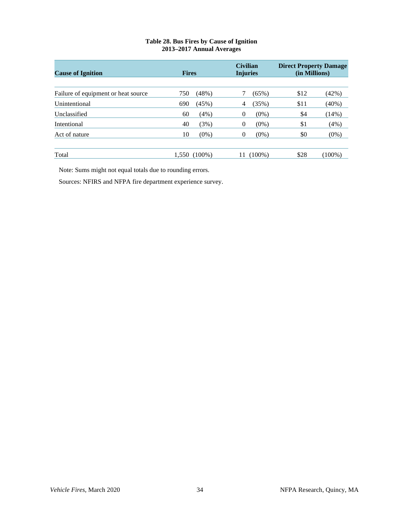## **Table 28. Bus Fires by Cause of Ignition 2013–2017 Annual Averages**

<span id="page-34-0"></span>

| <b>Cause of Ignition</b>            | <b>Fires</b> |           | <b>Civilian</b><br><b>Injuries</b> |           | <b>Direct Property Damage</b><br>(in Millions) |         |  |
|-------------------------------------|--------------|-----------|------------------------------------|-----------|------------------------------------------------|---------|--|
| Failure of equipment or heat source | 750          | (48%)     |                                    | (65%)     | \$12                                           | (42%)   |  |
| Unintentional                       | 690          | (45%)     | 4                                  | (35%)     | \$11                                           | (40%)   |  |
| Unclassified                        | 60           | (4%)      | 0                                  | $(0\%)$   | \$4                                            | (14%)   |  |
| Intentional                         | 40           | (3%)      | $\mathbf{0}$                       | $(0\%)$   | \$1                                            | (4%)    |  |
| Act of nature                       | 10           | $(0\%)$   | $\theta$                           | $(0\%)$   | \$0                                            | $(0\%)$ |  |
| Total                               | 1,550        | $(100\%)$ | 11                                 | $(100\%)$ | \$28                                           | (100%)  |  |

Note: Sums might not equal totals due to rounding errors.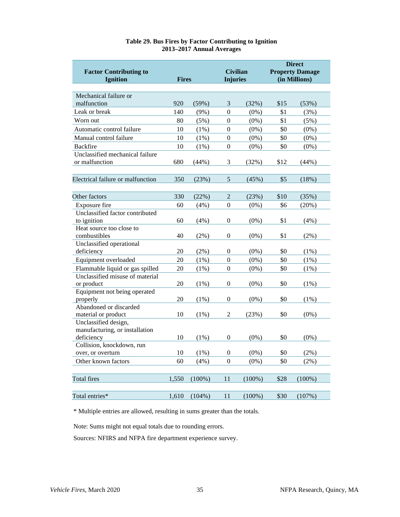<span id="page-35-0"></span>

| <b>Factor Contributing to</b><br><b>Ignition</b> | <b>Fires</b> |           | <b>Civilian</b><br><b>Injuries</b> |           |      | <b>Direct</b><br><b>Property Damage</b><br>(in Millions) |
|--------------------------------------------------|--------------|-----------|------------------------------------|-----------|------|----------------------------------------------------------|
| Mechanical failure or                            |              |           |                                    |           |      |                                                          |
| malfunction                                      | 920          | $(59\%)$  | 3                                  | (32%)     | \$15 | (53%)                                                    |
| Leak or break                                    | 140          | $(9\%)$   | $\boldsymbol{0}$                   | $(0\%)$   | \$1  | (3%)                                                     |
| Worn out                                         | 80           | $(5\%)$   | $\boldsymbol{0}$                   | $(0\%)$   | \$1  | (5%)                                                     |
| Automatic control failure                        | 10           | $(1\%)$   | $\overline{0}$                     | $(0\%)$   | \$0  | $(0\%)$                                                  |
| Manual control failure                           | 10           | $(1\%)$   | $\boldsymbol{0}$                   | $(0\%)$   | \$0  | $(0\%)$                                                  |
| <b>Backfire</b>                                  | 10           | $(1\%)$   | $\boldsymbol{0}$                   | $(0\%)$   | \$0  | $(0\%)$                                                  |
| Unclassified mechanical failure                  |              |           |                                    |           |      |                                                          |
| or malfunction                                   | 680          | (44%)     | 3                                  | (32%)     | \$12 | (44%)                                                    |
|                                                  |              |           |                                    |           |      |                                                          |
| Electrical failure or malfunction                | 350          | (23%)     | 5                                  | (45%)     | \$5  | (18%)                                                    |
|                                                  |              |           |                                    |           |      |                                                          |
| Other factors                                    | 330          | (22%)     | 2                                  | (23%)     | \$10 | (35%)                                                    |
| Exposure fire                                    | 60           | $(4\%)$   | $\boldsymbol{0}$                   | $(0\%)$   | \$6  | (20%)                                                    |
| Unclassified factor contributed                  |              |           |                                    |           |      |                                                          |
| to ignition                                      | 60           | (4%)      | $\overline{0}$                     | $(0\%)$   | \$1  | (4%)                                                     |
| Heat source too close to                         |              |           |                                    |           |      |                                                          |
| combustibles                                     | 40           | (2%)      | $\Omega$                           | $(0\%)$   | \$1  | (2%)                                                     |
| Unclassified operational                         |              |           |                                    |           |      |                                                          |
| deficiency                                       | 20           | (2%)      | 0                                  | $(0\%)$   | \$0  | (1%)                                                     |
| Equipment overloaded                             | 20           | $(1\%)$   | $\theta$                           | $(0\%)$   | \$0  | $(1\%)$                                                  |
| Flammable liquid or gas spilled                  | 20           | $(1\%)$   | $\overline{0}$                     | $(0\%)$   | \$0  | $(1\%)$                                                  |
| Unclassified misuse of material                  |              |           |                                    |           |      |                                                          |
| or product                                       | 20           | (1%)      | $\overline{0}$                     | $(0\%)$   | \$0  | (1%)                                                     |
| Equipment not being operated                     |              |           |                                    |           |      |                                                          |
| properly                                         | 20           | $(1\%)$   | $\boldsymbol{0}$                   | $(0\%)$   | \$0  | $(1\%)$                                                  |
| Abandoned or discarded                           |              |           |                                    |           |      |                                                          |
| material or product                              | 10           | $(1\%)$   | $\overline{2}$                     | (23%)     | \$0  | $(0\%)$                                                  |
| Unclassified design,                             |              |           |                                    |           |      |                                                          |
| manufacturing, or installation                   |              |           |                                    |           |      |                                                          |
| deficiency                                       | 10           | (1%)      | $\overline{0}$                     | $(0\%)$   | \$0  | $(0\%)$                                                  |
| Collision, knockdown, run                        |              |           |                                    |           |      |                                                          |
| over, or overturn                                | 10           | (1%)      | 0                                  | $(0\%)$   | \$0  | (2%)                                                     |
| Other known factors                              | 60           | (4%)      | $\overline{0}$                     | $(0\%)$   | \$0  | (2%)                                                     |
|                                                  |              |           |                                    |           |      |                                                          |
| <b>Total fires</b>                               | 1,550        | $(100\%)$ | 11                                 | $(100\%)$ | \$28 | $(100\%)$                                                |
|                                                  |              |           |                                    |           |      |                                                          |
| Total entries*                                   | 1,610        | $(104\%)$ | 11                                 | $(100\%)$ | \$30 | (107%)                                                   |

# **Table 29. Bus Fires by Factor Contributing to Ignition 2013–2017 Annual Averages**

\* Multiple entries are allowed, resulting in sums greater than the totals.

Note: Sums might not equal totals due to rounding errors.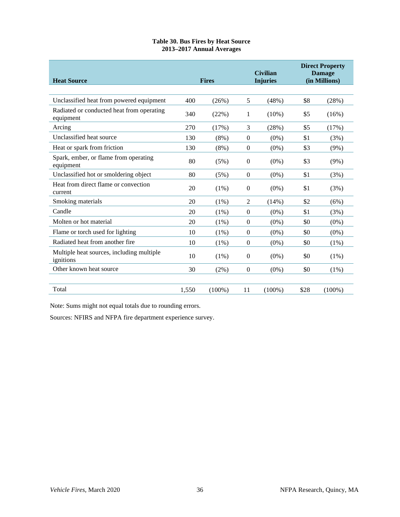# **Table 30. Bus Fires by Heat Source 2013–2017 Annual Averages**

<span id="page-36-0"></span>

| <b>Heat Source</b>                                     |       | <b>Fires</b> |                  | <b>Civilian</b><br><b>Injuries</b> |      | <b>Direct Property</b><br><b>Damage</b><br>(in Millions) |  |
|--------------------------------------------------------|-------|--------------|------------------|------------------------------------|------|----------------------------------------------------------|--|
|                                                        |       |              |                  |                                    |      |                                                          |  |
| Unclassified heat from powered equipment               | 400   | (26%)        | 5                | (48%)                              | \$8  | (28%)                                                    |  |
| Radiated or conducted heat from operating<br>equipment | 340   | (22%)        | 1                | $(10\%)$                           | \$5  | $(16\%)$                                                 |  |
| Arcing                                                 | 270   | (17%)        | 3                | (28%)                              | \$5  | (17%)                                                    |  |
| Unclassified heat source                               | 130   | $(8\%)$      | $\boldsymbol{0}$ | $(0\%)$                            | \$1  | (3%)                                                     |  |
| Heat or spark from friction                            | 130   | (8%)         | 0                | $(0\%)$                            | \$3  | (9%)                                                     |  |
| Spark, ember, or flame from operating<br>equipment     | 80    | (5%)         | $\boldsymbol{0}$ | $(0\%)$                            | \$3  | (9%)                                                     |  |
| Unclassified hot or smoldering object                  | 80    | (5%)         | $\mathbf{0}$     | $(0\%)$                            | \$1  | (3%)                                                     |  |
| Heat from direct flame or convection<br>current        | 20    | (1%)         | $\mathbf{0}$     | $(0\%)$                            | \$1  | (3%)                                                     |  |
| Smoking materials                                      | 20    | $(1\%)$      | $\overline{2}$   | $(14\%)$                           | \$2  | (6%)                                                     |  |
| Candle                                                 | 20    | (1%)         | $\overline{0}$   | $(0\%)$                            | \$1  | (3%)                                                     |  |
| Molten or hot material                                 | 20    | $(1\%)$      | $\overline{0}$   | $(0\%)$                            | \$0  | $(0\%)$                                                  |  |
| Flame or torch used for lighting                       | 10    | $(1\%)$      | $\overline{0}$   | $(0\%)$                            | \$0  | $(0\%)$                                                  |  |
| Radiated heat from another fire                        | 10    | $(1\%)$      | $\boldsymbol{0}$ | $(0\%)$                            | \$0  | $(1\%)$                                                  |  |
| Multiple heat sources, including multiple<br>ignitions | 10    | $(1\%)$      | $\boldsymbol{0}$ | $(0\%)$                            | \$0  | (1%)                                                     |  |
| Other known heat source                                | 30    | (2%)         | $\overline{0}$   | $(0\%)$                            | \$0  | (1%)                                                     |  |
|                                                        |       |              |                  |                                    |      |                                                          |  |
| Total                                                  | 1.550 | $(100\%)$    | 11               | $(100\%)$                          | \$28 | $(100\%)$                                                |  |

Note: Sums might not equal totals due to rounding errors.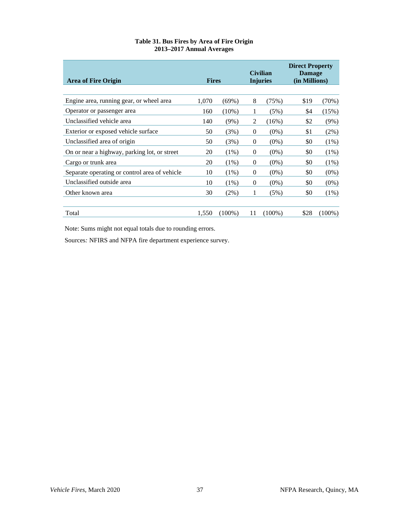<span id="page-37-0"></span>

| <b>Area of Fire Origin</b>                    | <b>Fires</b> |           | <b>Civilian</b><br><b>Injuries</b> |           | <b>Direct Property</b><br><b>Damage</b><br>(in Millions) |           |
|-----------------------------------------------|--------------|-----------|------------------------------------|-----------|----------------------------------------------------------|-----------|
|                                               |              |           |                                    |           |                                                          |           |
| Engine area, running gear, or wheel area      | 1,070        | $(69\%)$  | 8                                  | (75%)     | \$19                                                     | (70%)     |
| Operator or passenger area                    | 160          | $(10\%)$  | 1                                  | (5%)      | \$4                                                      | (15%)     |
| Unclassified vehicle area                     | 140          | (9%)      | 2                                  | $(16\%)$  | \$2                                                      | (9%)      |
| Exterior or exposed vehicle surface           | 50           | (3%)      | $\mathbf{0}$                       | $(0\%)$   | \$1                                                      | (2%)      |
| Unclassified area of origin                   | 50           | (3%)      | $\theta$                           | $(0\%)$   | \$0                                                      | $(1\%)$   |
| On or near a highway, parking lot, or street  | 20           | $(1\%)$   | $\theta$                           | $(0\%)$   | \$0                                                      | (1%)      |
| Cargo or trunk area                           | 20           | $(1\%)$   | $\theta$                           | $(0\%)$   | \$0                                                      | (1%)      |
| Separate operating or control area of vehicle | 10           | (1%)      | $\theta$                           | $(0\%)$   | \$0                                                      | (0%)      |
| Unclassified outside area                     | 10           | (1%)      | $\mathbf{0}$                       | $(0\%)$   | \$0                                                      | (0%)      |
| Other known area                              | 30           | (2%)      | 1                                  | (5%)      | \$0                                                      | (1%)      |
|                                               |              |           |                                    |           |                                                          |           |
| Total                                         | 1,550        | $(100\%)$ | 11                                 | $(100\%)$ | \$28                                                     | $(100\%)$ |

# **Table 31. Bus Fires by Area of Fire Origin 2013–2017 Annual Averages**

Note: Sums might not equal totals due to rounding errors.